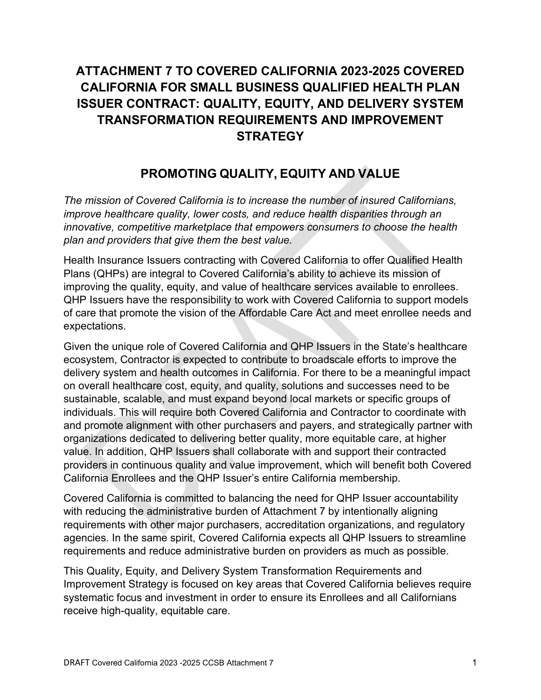# **ATTACHMENT 7 TO COVERED CALIFORNIA 2023-2025 COVERED CALIFORNIA FOR SMALL BUSINESS QUALIFIED HEALTH PLAN ISSUER CONTRACT: QUALITY, EQUITY, AND DELIVERY SYSTEM TRANSFORMATION REQUIREMENTS AND IMPROVEMENT STRATEGY**

# **PROMOTING QUALITY, EQUITY AND VALUE**

*The mission of Covered California is to increase the number of insured Californians, improve healthcare quality, lower costs, and reduce health disparities through an innovative, competitive marketplace that empowers consumers to choose the health plan and providers that give them the best value.*

Health Insurance Issuers contracting with Covered California to offer Qualified Health Plans (QHPs) are integral to Covered California's ability to achieve its mission of improving the quality, equity, and value of healthcare services available to enrollees. QHP Issuers have the responsibility to work with Covered California to support models of care that promote the vision of the Affordable Care Act and meet enrollee needs and expectations.

Given the unique role of Covered California and QHP Issuers in the State's healthcare ecosystem, Contractor is expected to contribute to broadscale efforts to improve the delivery system and health outcomes in California. For there to be a meaningful impact on overall healthcare cost, equity, and quality, solutions and successes need to be sustainable, scalable, and must expand beyond local markets or specific groups of individuals. This will require both Covered California and Contractor to coordinate with and promote alignment with other purchasers and payers, and strategically partner with organizations dedicated to delivering better quality, more equitable care, at higher value. In addition, QHP Issuers shall collaborate with and support their contracted providers in continuous quality and value improvement, which will benefit both Covered California Enrollees and the QHP Issuer's entire California membership.

Covered California is committed to balancing the need for QHP Issuer accountability with reducing the administrative burden of Attachment 7 by intentionally aligning requirements with other major purchasers, accreditation organizations, and regulatory agencies. In the same spirit, Covered California expects all QHP Issuers to streamline requirements and reduce administrative burden on providers as much as possible.

This Quality, Equity, and Delivery System Transformation Requirements and Improvement Strategy is focused on key areas that Covered California believes require systematic focus and investment in order to ensure its Enrollees and all Californians receive high-quality, equitable care.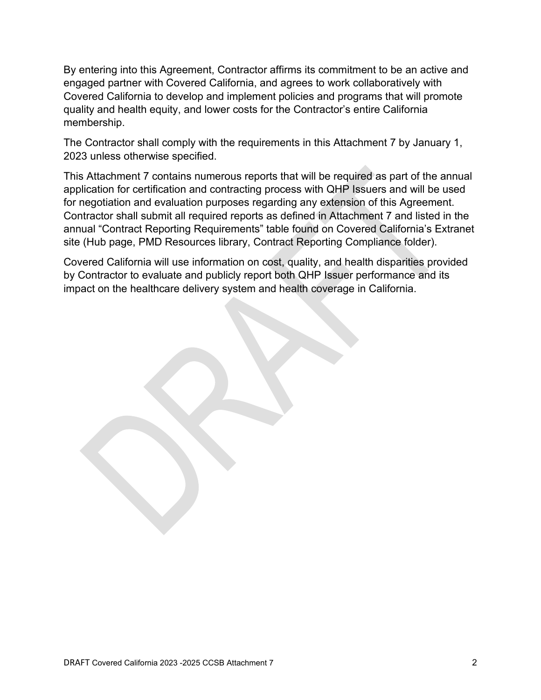By entering into this Agreement, Contractor affirms its commitment to be an active and engaged partner with Covered California, and agrees to work collaboratively with Covered California to develop and implement policies and programs that will promote quality and health equity, and lower costs for the Contractor's entire California membership.

The Contractor shall comply with the requirements in this Attachment 7 by January 1, 2023 unless otherwise specified.

This Attachment 7 contains numerous reports that will be required as part of the annual application for certification and contracting process with QHP Issuers and will be used for negotiation and evaluation purposes regarding any extension of this Agreement. Contractor shall submit all required reports as defined in Attachment 7 and listed in the annual "Contract Reporting Requirements" table found on Covered California's Extranet site (Hub page, PMD Resources library, Contract Reporting Compliance folder).

Covered California will use information on cost, quality, and health disparities provided by Contractor to evaluate and publicly report both QHP Issuer performance and its impact on the healthcare delivery system and health coverage in California.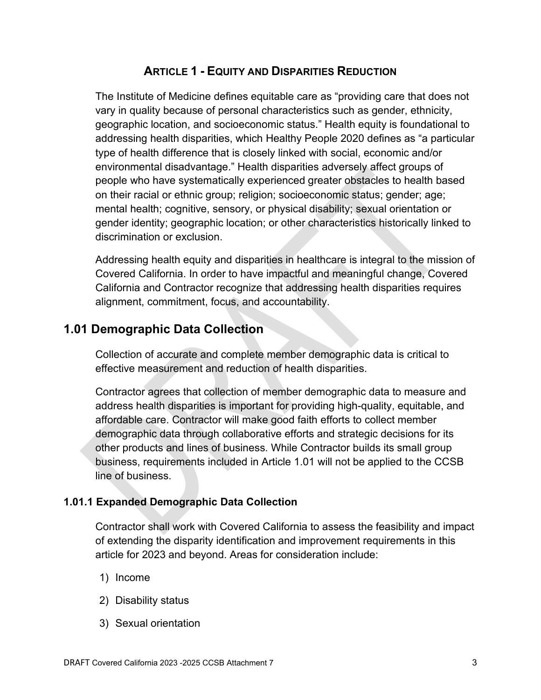# **ARTICLE 1 - EQUITY AND DISPARITIES REDUCTION**

The Institute of Medicine defines equitable care as "providing care that does not vary in quality because of personal characteristics such as gender, ethnicity, geographic location, and socioeconomic status." Health equity is foundational to addressing health disparities, which Healthy People 2020 defines as "a particular type of health difference that is closely linked with social, economic and/or environmental disadvantage." Health disparities adversely affect groups of people who have systematically experienced greater obstacles to health based on their racial or ethnic group; religion; socioeconomic status; gender; age; mental health; cognitive, sensory, or physical disability; sexual orientation or gender identity; geographic location; or other characteristics historically linked to discrimination or exclusion.

Addressing health equity and disparities in healthcare is integral to the mission of Covered California. In order to have impactful and meaningful change, Covered California and Contractor recognize that addressing health disparities requires alignment, commitment, focus, and accountability.

# **1.01 Demographic Data Collection**

Collection of accurate and complete member demographic data is critical to effective measurement and reduction of health disparities.

Contractor agrees that collection of member demographic data to measure and address health disparities is important for providing high-quality, equitable, and affordable care. Contractor will make good faith efforts to collect member demographic data through collaborative efforts and strategic decisions for its other products and lines of business. While Contractor builds its small group business, requirements included in Article 1.01 will not be applied to the CCSB line of business.

### **1.01.1 Expanded Demographic Data Collection**

Contractor shall work with Covered California to assess the feasibility and impact of extending the disparity identification and improvement requirements in this article for 2023 and beyond. Areas for consideration include:

- 1) Income
- 2) Disability status
- 3) Sexual orientation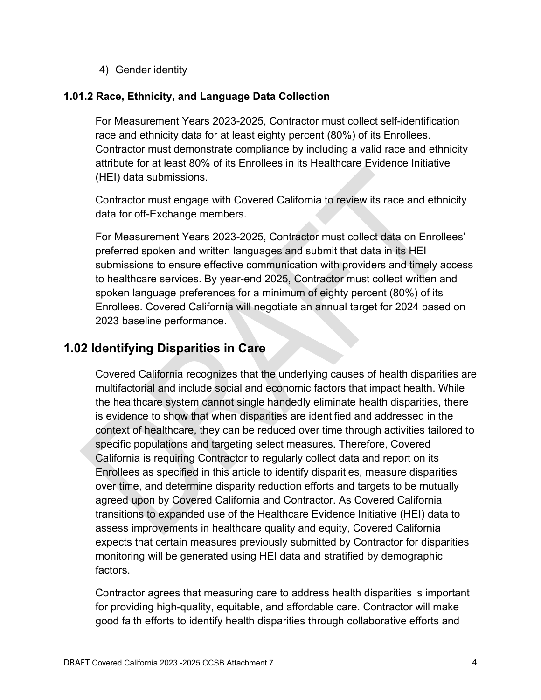4) Gender identity

### **1.01.2 Race, Ethnicity, and Language Data Collection**

For Measurement Years 2023-2025, Contractor must collect self-identification race and ethnicity data for at least eighty percent (80%) of its Enrollees. Contractor must demonstrate compliance by including a valid race and ethnicity attribute for at least 80% of its Enrollees in its Healthcare Evidence Initiative (HEI) data submissions.

Contractor must engage with Covered California to review its race and ethnicity data for off-Exchange members.

For Measurement Years 2023-2025, Contractor must collect data on Enrollees' preferred spoken and written languages and submit that data in its HEI submissions to ensure effective communication with providers and timely access to healthcare services. By year-end 2025, Contractor must collect written and spoken language preferences for a minimum of eighty percent (80%) of its Enrollees. Covered California will negotiate an annual target for 2024 based on 2023 baseline performance.

# **1.02 Identifying Disparities in Care**

Covered California recognizes that the underlying causes of health disparities are multifactorial and include social and economic factors that impact health. While the healthcare system cannot single handedly eliminate health disparities, there is evidence to show that when disparities are identified and addressed in the context of healthcare, they can be reduced over time through activities tailored to specific populations and targeting select measures. Therefore, Covered California is requiring Contractor to regularly collect data and report on its Enrollees as specified in this article to identify disparities, measure disparities over time, and determine disparity reduction efforts and targets to be mutually agreed upon by Covered California and Contractor. As Covered California transitions to expanded use of the Healthcare Evidence Initiative (HEI) data to assess improvements in healthcare quality and equity, Covered California expects that certain measures previously submitted by Contractor for disparities monitoring will be generated using HEI data and stratified by demographic factors.

Contractor agrees that measuring care to address health disparities is important for providing high-quality, equitable, and affordable care. Contractor will make good faith efforts to identify health disparities through collaborative efforts and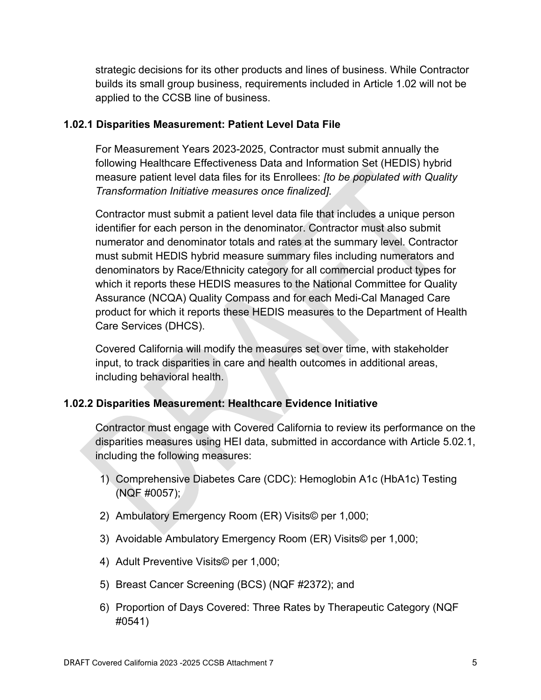strategic decisions for its other products and lines of business. While Contractor builds its small group business, requirements included in Article 1.02 will not be applied to the CCSB line of business.

#### **1.02.1 Disparities Measurement: Patient Level Data File**

For Measurement Years 2023-2025, Contractor must submit annually the following Healthcare Effectiveness Data and Information Set (HEDIS) hybrid measure patient level data files for its Enrollees: *[to be populated with Quality Transformation Initiative measures once finalized].*

Contractor must submit a patient level data file that includes a unique person identifier for each person in the denominator. Contractor must also submit numerator and denominator totals and rates at the summary level. Contractor must submit HEDIS hybrid measure summary files including numerators and denominators by Race/Ethnicity category for all commercial product types for which it reports these HEDIS measures to the National Committee for Quality Assurance (NCQA) Quality Compass and for each Medi-Cal Managed Care product for which it reports these HEDIS measures to the Department of Health Care Services (DHCS).

Covered California will modify the measures set over time, with stakeholder input, to track disparities in care and health outcomes in additional areas, including behavioral health.

### **1.02.2 Disparities Measurement: Healthcare Evidence Initiative**

Contractor must engage with Covered California to review its performance on the disparities measures using HEI data, submitted in accordance with Article 5.02.1, including the following measures:

- 1) Comprehensive Diabetes Care (CDC): Hemoglobin A1c (HbA1c) Testing (NQF #0057);
- 2) Ambulatory Emergency Room (ER) Visits© per 1,000;
- 3) Avoidable Ambulatory Emergency Room (ER) Visits© per 1,000;
- 4) Adult Preventive Visits© per 1,000;
- 5) Breast Cancer Screening (BCS) (NQF #2372); and
- 6) Proportion of Days Covered: Three Rates by Therapeutic Category (NQF #0541)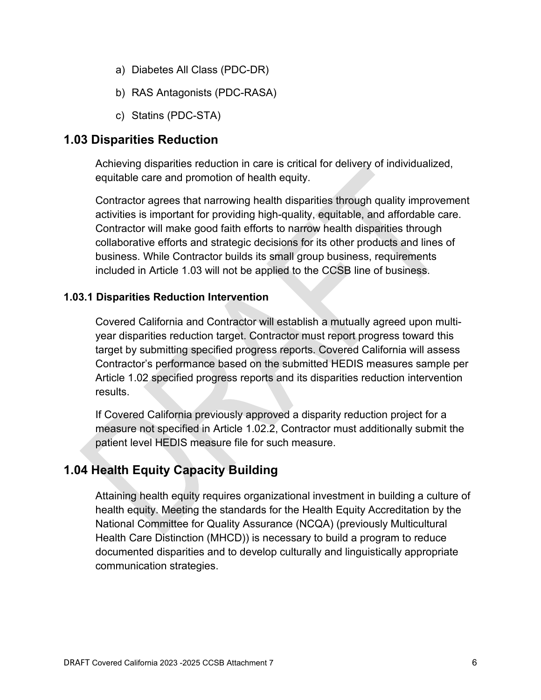- a) Diabetes All Class (PDC-DR)
- b) RAS Antagonists (PDC-RASA)
- c) Statins (PDC-STA)

### **1.03 Disparities Reduction**

Achieving disparities reduction in care is critical for delivery of individualized, equitable care and promotion of health equity.

Contractor agrees that narrowing health disparities through quality improvement activities is important for providing high-quality, equitable, and affordable care. Contractor will make good faith efforts to narrow health disparities through collaborative efforts and strategic decisions for its other products and lines of business. While Contractor builds its small group business, requirements included in Article 1.03 will not be applied to the CCSB line of business.

#### **1.03.1 Disparities Reduction Intervention**

Covered California and Contractor will establish a mutually agreed upon multiyear disparities reduction target. Contractor must report progress toward this target by submitting specified progress reports. Covered California will assess Contractor's performance based on the submitted HEDIS measures sample per Article 1.02 specified progress reports and its disparities reduction intervention results.

If Covered California previously approved a disparity reduction project for a measure not specified in Article 1.02.2, Contractor must additionally submit the patient level HEDIS measure file for such measure.

## **1.04 Health Equity Capacity Building**

Attaining health equity requires organizational investment in building a culture of health equity. Meeting the standards for the Health Equity Accreditation by the National Committee for Quality Assurance (NCQA) (previously Multicultural Health Care Distinction (MHCD)) is necessary to build a program to reduce documented disparities and to develop culturally and linguistically appropriate communication strategies.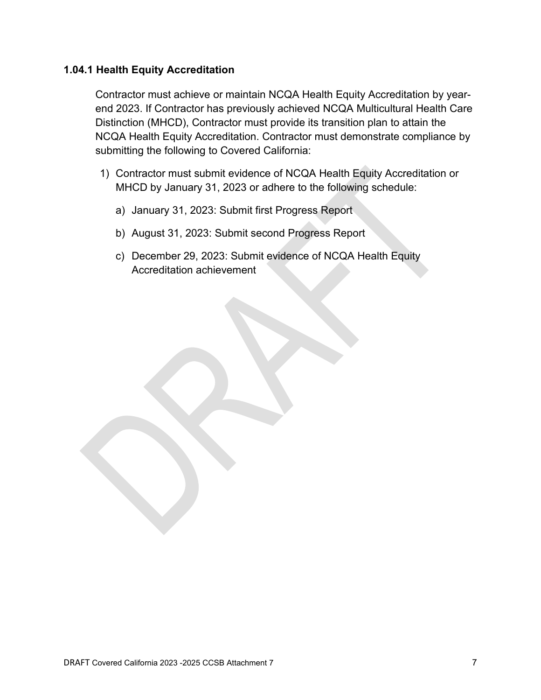#### **1.04.1 Health Equity Accreditation**

Contractor must achieve or maintain NCQA Health Equity Accreditation by yearend 2023. If Contractor has previously achieved NCQA Multicultural Health Care Distinction (MHCD), Contractor must provide its transition plan to attain the NCQA Health Equity Accreditation. Contractor must demonstrate compliance by submitting the following to Covered California:

- 1) Contractor must submit evidence of NCQA Health Equity Accreditation or MHCD by January 31, 2023 or adhere to the following schedule:
	- a) January 31, 2023: Submit first Progress Report
	- b) August 31, 2023: Submit second Progress Report
	- c) December 29, 2023: Submit evidence of NCQA Health Equity Accreditation achievement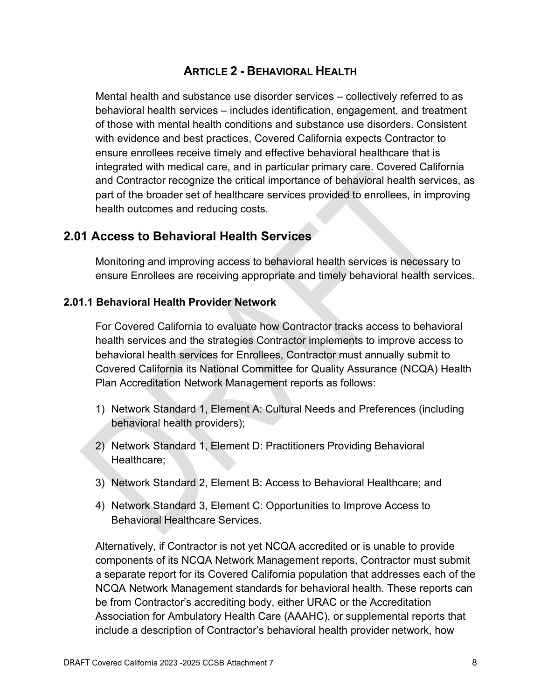## **ARTICLE 2 - BEHAVIORAL HEALTH**

Mental health and substance use disorder services – collectively referred to as behavioral health services – includes identification, engagement, and treatment of those with mental health conditions and substance use disorders. Consistent with evidence and best practices, Covered California expects Contractor to ensure enrollees receive timely and effective behavioral healthcare that is integrated with medical care, and in particular primary care. Covered California and Contractor recognize the critical importance of behavioral health services, as part of the broader set of healthcare services provided to enrollees, in improving health outcomes and reducing costs.

# **2.01 Access to Behavioral Health Services**

Monitoring and improving access to behavioral health services is necessary to ensure Enrollees are receiving appropriate and timely behavioral health services.

#### **2.01.1 Behavioral Health Provider Network**

For Covered California to evaluate how Contractor tracks access to behavioral health services and the strategies Contractor implements to improve access to behavioral health services for Enrollees, Contractor must annually submit to Covered California its National Committee for Quality Assurance (NCQA) Health Plan Accreditation Network Management reports as follows:

- 1) Network Standard 1, Element A: Cultural Needs and Preferences (including behavioral health providers);
- 2) Network Standard 1, Element D: Practitioners Providing Behavioral Healthcare;
- 3) Network Standard 2, Element B: Access to Behavioral Healthcare; and
- 4) Network Standard 3, Element C: Opportunities to Improve Access to Behavioral Healthcare Services.

Alternatively, if Contractor is not yet NCQA accredited or is unable to provide components of its NCQA Network Management reports, Contractor must submit a separate report for its Covered California population that addresses each of the NCQA Network Management standards for behavioral health. These reports can be from Contractor's accrediting body, either URAC or the Accreditation Association for Ambulatory Health Care (AAAHC), or supplemental reports that include a description of Contractor's behavioral health provider network, how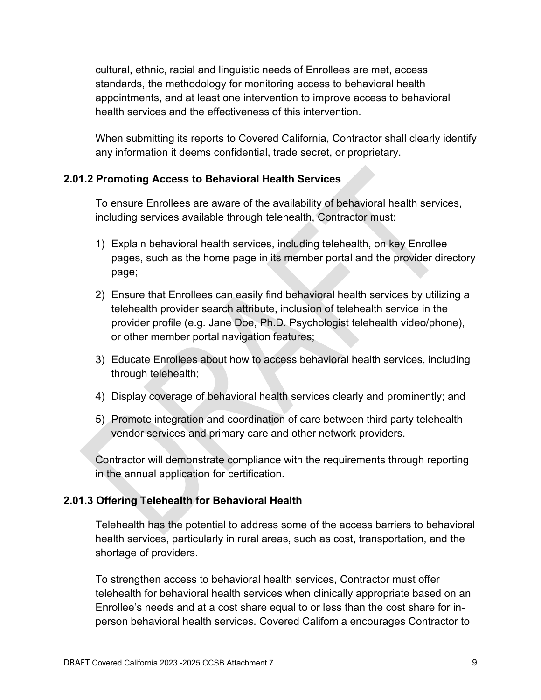cultural, ethnic, racial and linguistic needs of Enrollees are met, access standards, the methodology for monitoring access to behavioral health appointments, and at least one intervention to improve access to behavioral health services and the effectiveness of this intervention.

When submitting its reports to Covered California, Contractor shall clearly identify any information it deems confidential, trade secret, or proprietary.

### **2.01.2 Promoting Access to Behavioral Health Services**

To ensure Enrollees are aware of the availability of behavioral health services, including services available through telehealth, Contractor must:

- 1) Explain behavioral health services, including telehealth, on key Enrollee pages, such as the home page in its member portal and the provider directory page;
- 2) Ensure that Enrollees can easily find behavioral health services by utilizing a telehealth provider search attribute, inclusion of telehealth service in the provider profile (e.g. Jane Doe, Ph.D. Psychologist telehealth video/phone), or other member portal navigation features;
- 3) Educate Enrollees about how to access behavioral health services, including through telehealth;
- 4) Display coverage of behavioral health services clearly and prominently; and
- 5) Promote integration and coordination of care between third party telehealth vendor services and primary care and other network providers.

Contractor will demonstrate compliance with the requirements through reporting in the annual application for certification.

### **2.01.3 Offering Telehealth for Behavioral Health**

Telehealth has the potential to address some of the access barriers to behavioral health services, particularly in rural areas, such as cost, transportation, and the shortage of providers.

To strengthen access to behavioral health services, Contractor must offer telehealth for behavioral health services when clinically appropriate based on an Enrollee's needs and at a cost share equal to or less than the cost share for inperson behavioral health services. Covered California encourages Contractor to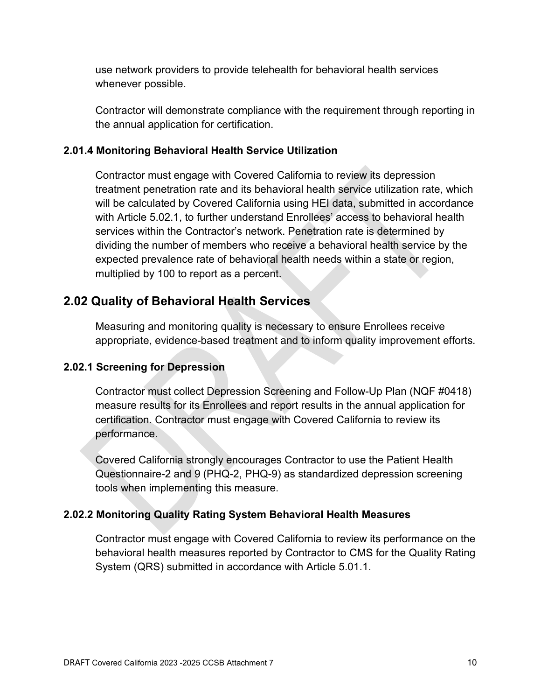use network providers to provide telehealth for behavioral health services whenever possible.

Contractor will demonstrate compliance with the requirement through reporting in the annual application for certification.

### **2.01.4 Monitoring Behavioral Health Service Utilization**

Contractor must engage with Covered California to review its depression treatment penetration rate and its behavioral health service utilization rate, which will be calculated by Covered California using HEI data, submitted in accordance with Article 5.02.1, to further understand Enrollees' access to behavioral health services within the Contractor's network. Penetration rate is determined by dividing the number of members who receive a behavioral health service by the expected prevalence rate of behavioral health needs within a state or region, multiplied by 100 to report as a percent.

# **2.02 Quality of Behavioral Health Services**

Measuring and monitoring quality is necessary to ensure Enrollees receive appropriate, evidence-based treatment and to inform quality improvement efforts.

## **2.02.1 Screening for Depression**

Contractor must collect Depression Screening and Follow-Up Plan (NQF #0418) measure results for its Enrollees and report results in the annual application for certification. Contractor must engage with Covered California to review its performance.

Covered California strongly encourages Contractor to use the Patient Health Questionnaire-2 and 9 (PHQ-2, PHQ-9) as standardized depression screening tools when implementing this measure.

## **2.02.2 Monitoring Quality Rating System Behavioral Health Measures**

Contractor must engage with Covered California to review its performance on the behavioral health measures reported by Contractor to CMS for the Quality Rating System (QRS) submitted in accordance with Article 5.01.1.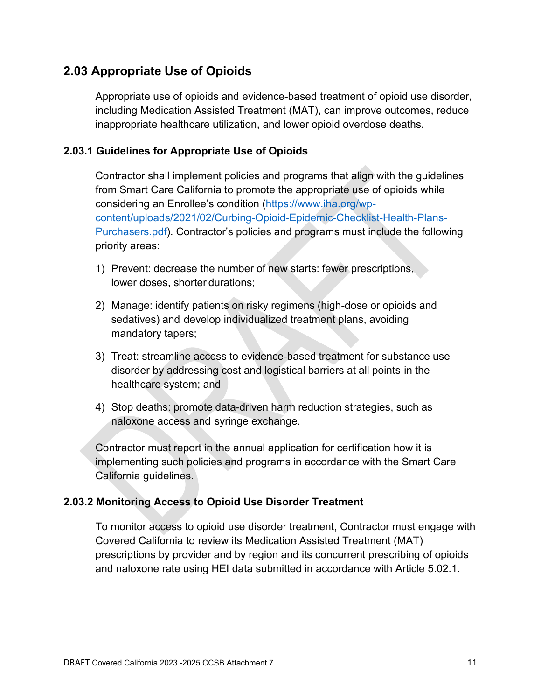# **2.03 Appropriate Use of Opioids**

Appropriate use of opioids and evidence-based treatment of opioid use disorder, including Medication Assisted Treatment (MAT), can improve outcomes, reduce inappropriate healthcare utilization, and lower opioid overdose deaths.

#### **2.03.1 Guidelines for Appropriate Use of Opioids**

Contractor shall implement policies and programs that align with the guidelines from Smart Care California to promote the appropriate use of opioids while considering an Enrollee's condition [\(https://www.iha.org/wp](https://www.iha.org/wp-content/uploads/2021/02/Curbing-Opioid-Epidemic-Checklist-Health-Plans-Purchasers.pdf)[content/uploads/2021/02/Curbing-Opioid-Epidemic-Checklist-Health-Plans-](https://www.iha.org/wp-content/uploads/2021/02/Curbing-Opioid-Epidemic-Checklist-Health-Plans-Purchasers.pdf)[Purchasers.pdf\)](https://www.iha.org/wp-content/uploads/2021/02/Curbing-Opioid-Epidemic-Checklist-Health-Plans-Purchasers.pdf). Contractor's policies and programs must include the following priority areas:

- 1) Prevent: decrease the number of new starts: fewer prescriptions, lower doses, shorter durations;
- 2) Manage: identify patients on risky regimens (high-dose or opioids and sedatives) and develop individualized treatment plans, avoiding mandatory tapers;
- 3) Treat: streamline access to evidence-based treatment for substance use disorder by addressing cost and logistical barriers at all points in the healthcare system; and
- 4) Stop deaths: promote data-driven harm reduction strategies, such as naloxone access and syringe exchange.

Contractor must report in the annual application for certification how it is implementing such policies and programs in accordance with the Smart Care California guidelines.

#### **2.03.2 Monitoring Access to Opioid Use Disorder Treatment**

To monitor access to opioid use disorder treatment, Contractor must engage with Covered California to review its Medication Assisted Treatment (MAT) prescriptions by provider and by region and its concurrent prescribing of opioids and naloxone rate using HEI data submitted in accordance with Article 5.02.1.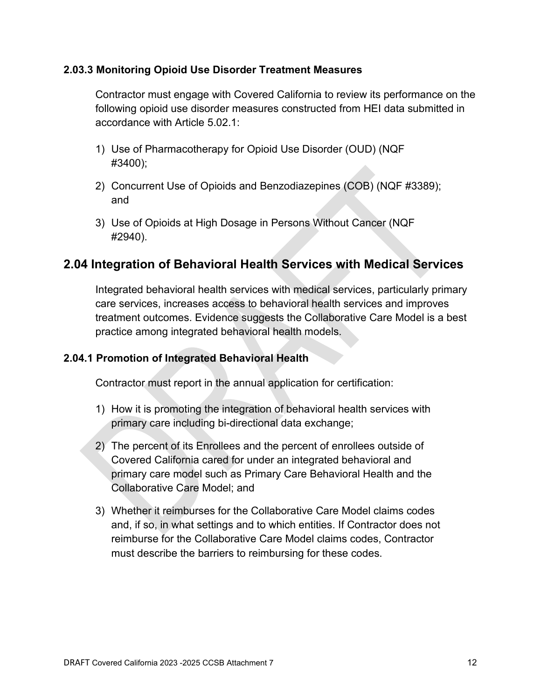#### **2.03.3 Monitoring Opioid Use Disorder Treatment Measures**

Contractor must engage with Covered California to review its performance on the following opioid use disorder measures constructed from HEI data submitted in accordance with Article 5.02.1:

- 1) Use of Pharmacotherapy for Opioid Use Disorder (OUD) (NQF #3400);
- 2) Concurrent Use of Opioids and Benzodiazepines (COB) (NQF #3389); and
- 3) Use of Opioids at High Dosage in Persons Without Cancer (NQF #2940).

## **2.04 Integration of Behavioral Health Services with Medical Services**

Integrated behavioral health services with medical services, particularly primary care services, increases access to behavioral health services and improves treatment outcomes. Evidence suggests the Collaborative Care Model is a best practice among integrated behavioral health models.

#### **2.04.1 Promotion of Integrated Behavioral Health**

Contractor must report in the annual application for certification:

- 1) How it is promoting the integration of behavioral health services with primary care including bi-directional data exchange;
- 2) The percent of its Enrollees and the percent of enrollees outside of Covered California cared for under an integrated behavioral and primary care model such as Primary Care Behavioral Health and the Collaborative Care Model; and
- 3) Whether it reimburses for the Collaborative Care Model claims codes and, if so, in what settings and to which entities. If Contractor does not reimburse for the Collaborative Care Model claims codes, Contractor must describe the barriers to reimbursing for these codes.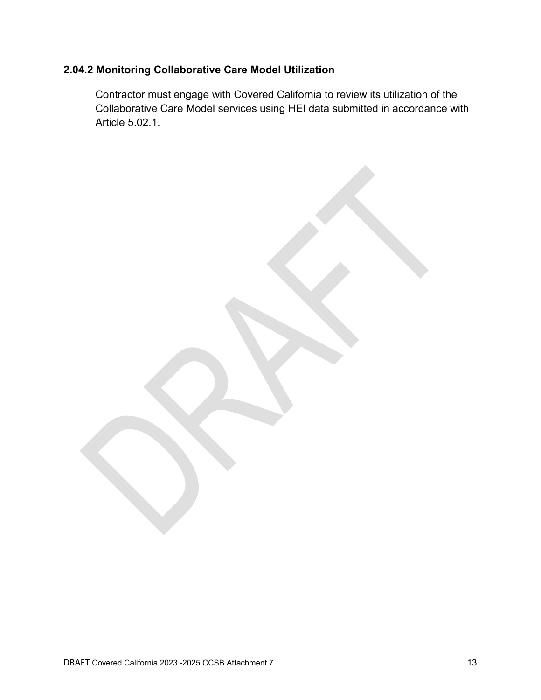## **2.04.2 Monitoring Collaborative Care Model Utilization**

Contractor must engage with Covered California to review its utilization of the Collaborative Care Model services using HEI data submitted in accordance with Article 5.02.1.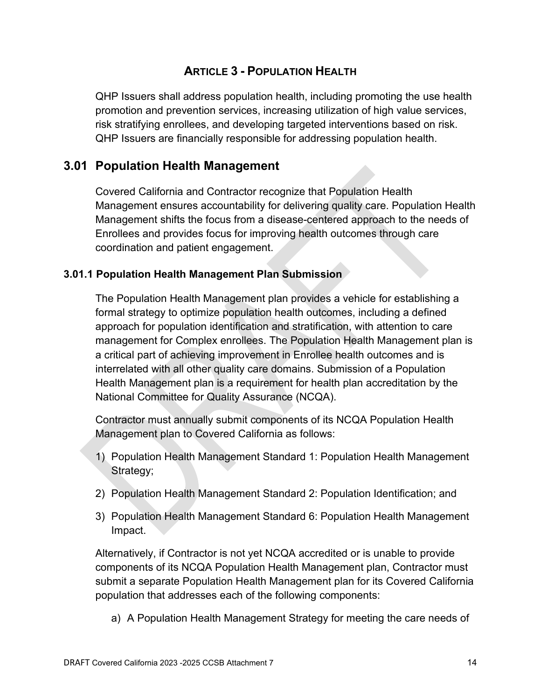# **ARTICLE 3 - POPULATION HEALTH**

QHP Issuers shall address population health, including promoting the use health promotion and prevention services, increasing utilization of high value services, risk stratifying enrollees, and developing targeted interventions based on risk. QHP Issuers are financially responsible for addressing population health.

## **3.01 Population Health Management**

Covered California and Contractor recognize that Population Health Management ensures accountability for delivering quality care. Population Health Management shifts the focus from a disease-centered approach to the needs of Enrollees and provides focus for improving health outcomes through care coordination and patient engagement.

#### **3.01.1 Population Health Management Plan Submission**

The Population Health Management plan provides a vehicle for establishing a formal strategy to optimize population health outcomes, including a defined approach for population identification and stratification, with attention to care management for Complex enrollees. The Population Health Management plan is a critical part of achieving improvement in Enrollee health outcomes and is interrelated with all other quality care domains. Submission of a Population Health Management plan is a requirement for health plan accreditation by the National Committee for Quality Assurance (NCQA).

Contractor must annually submit components of its NCQA Population Health Management plan to Covered California as follows:

- 1) Population Health Management Standard 1: Population Health Management Strategy;
- 2) Population Health Management Standard 2: Population Identification; and
- 3) Population Health Management Standard 6: Population Health Management Impact.

Alternatively, if Contractor is not yet NCQA accredited or is unable to provide components of its NCQA Population Health Management plan, Contractor must submit a separate Population Health Management plan for its Covered California population that addresses each of the following components:

a) A Population Health Management Strategy for meeting the care needs of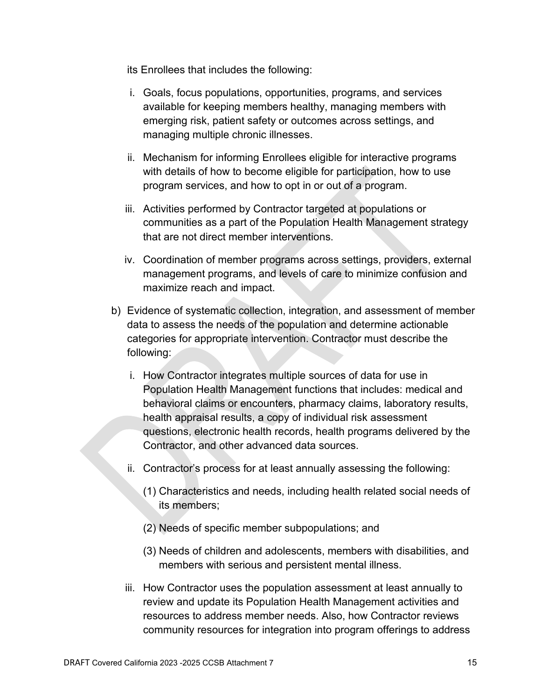its Enrollees that includes the following:

- i. Goals, focus populations, opportunities, programs, and services available for keeping members healthy, managing members with emerging risk, patient safety or outcomes across settings, and managing multiple chronic illnesses.
- ii. Mechanism for informing Enrollees eligible for interactive programs with details of how to become eligible for participation, how to use program services, and how to opt in or out of a program.
- iii. Activities performed by Contractor targeted at populations or communities as a part of the Population Health Management strategy that are not direct member interventions.
- iv. Coordination of member programs across settings, providers, external management programs, and levels of care to minimize confusion and maximize reach and impact.
- b) Evidence of systematic collection, integration, and assessment of member data to assess the needs of the population and determine actionable categories for appropriate intervention. Contractor must describe the following:
	- i. How Contractor integrates multiple sources of data for use in Population Health Management functions that includes: medical and behavioral claims or encounters, pharmacy claims, laboratory results, health appraisal results, a copy of individual risk assessment questions, electronic health records, health programs delivered by the Contractor, and other advanced data sources.
	- ii. Contractor's process for at least annually assessing the following:
		- (1) Characteristics and needs, including health related social needs of its members;
		- (2) Needs of specific member subpopulations; and
		- (3) Needs of children and adolescents, members with disabilities, and members with serious and persistent mental illness.
	- iii. How Contractor uses the population assessment at least annually to review and update its Population Health Management activities and resources to address member needs. Also, how Contractor reviews community resources for integration into program offerings to address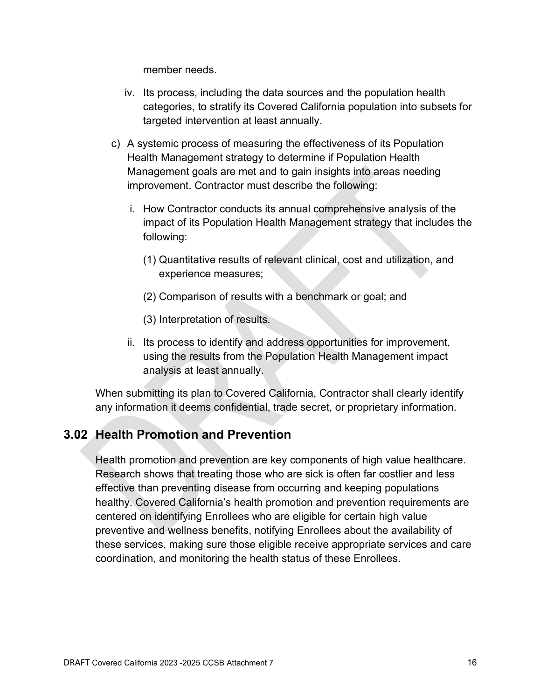member needs.

- iv. Its process, including the data sources and the population health categories, to stratify its Covered California population into subsets for targeted intervention at least annually.
- c) A systemic process of measuring the effectiveness of its Population Health Management strategy to determine if Population Health Management goals are met and to gain insights into areas needing improvement. Contractor must describe the following:
	- i. How Contractor conducts its annual comprehensive analysis of the impact of its Population Health Management strategy that includes the following:
		- (1) Quantitative results of relevant clinical, cost and utilization, and experience measures;
		- (2) Comparison of results with a benchmark or goal; and
		- (3) Interpretation of results.
	- ii. Its process to identify and address opportunities for improvement, using the results from the Population Health Management impact analysis at least annually.

When submitting its plan to Covered California, Contractor shall clearly identify any information it deems confidential, trade secret, or proprietary information.

# **3.02 Health Promotion and Prevention**

Health promotion and prevention are key components of high value healthcare. Research shows that treating those who are sick is often far costlier and less effective than preventing disease from occurring and keeping populations healthy. Covered California's health promotion and prevention requirements are centered on identifying Enrollees who are eligible for certain high value preventive and wellness benefits, notifying Enrollees about the availability of these services, making sure those eligible receive appropriate services and care coordination, and monitoring the health status of these Enrollees.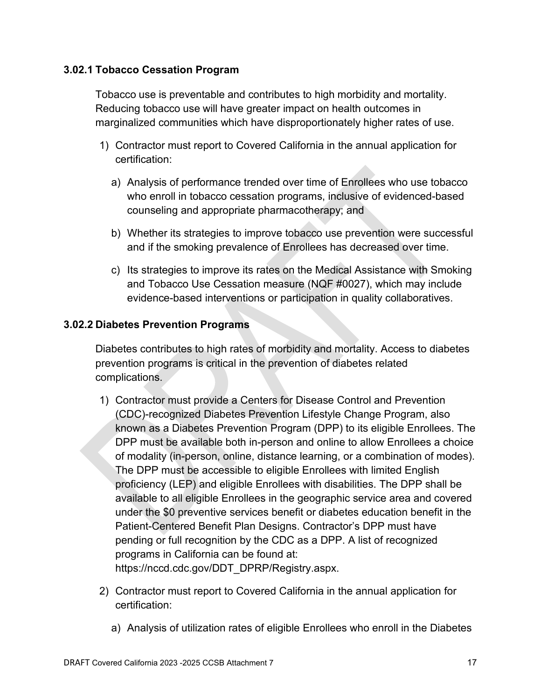### **3.02.1 Tobacco Cessation Program**

Tobacco use is preventable and contributes to high morbidity and mortality. Reducing tobacco use will have greater impact on health outcomes in marginalized communities which have disproportionately higher rates of use.

- 1) Contractor must report to Covered California in the annual application for certification:
	- a) Analysis of performance trended over time of Enrollees who use tobacco who enroll in tobacco cessation programs, inclusive of evidenced-based counseling and appropriate pharmacotherapy; and
	- b) Whether its strategies to improve tobacco use prevention were successful and if the smoking prevalence of Enrollees has decreased over time.
	- c) Its strategies to improve its rates on the Medical Assistance with Smoking and Tobacco Use Cessation measure (NQF #0027), which may include evidence-based interventions or participation in quality collaboratives.

#### **3.02.2 Diabetes Prevention Programs**

Diabetes contributes to high rates of morbidity and mortality. Access to diabetes prevention programs is critical in the prevention of diabetes related complications.

- 1) Contractor must provide a Centers for Disease Control and Prevention (CDC)-recognized Diabetes Prevention Lifestyle Change Program, also known as a Diabetes Prevention Program (DPP) to its eligible Enrollees. The DPP must be available both in-person and online to allow Enrollees a choice of modality (in-person, online, distance learning, or a combination of modes). The DPP must be accessible to eligible Enrollees with limited English proficiency (LEP) and eligible Enrollees with disabilities. The DPP shall be available to all eligible Enrollees in the geographic service area and covered under the \$0 preventive services benefit or diabetes education benefit in the Patient-Centered Benefit Plan Designs. Contractor's DPP must have pending or full recognition by the CDC as a DPP. A list of recognized programs in California can be found at: [https://nccd.cdc.gov/DDT\\_DPRP/Registry.aspx.](https://nccd.cdc.gov/DDT_DPRP/Registry.aspx)
- 2) Contractor must report to Covered California in the annual application for certification:
	- a) Analysis of utilization rates of eligible Enrollees who enroll in the Diabetes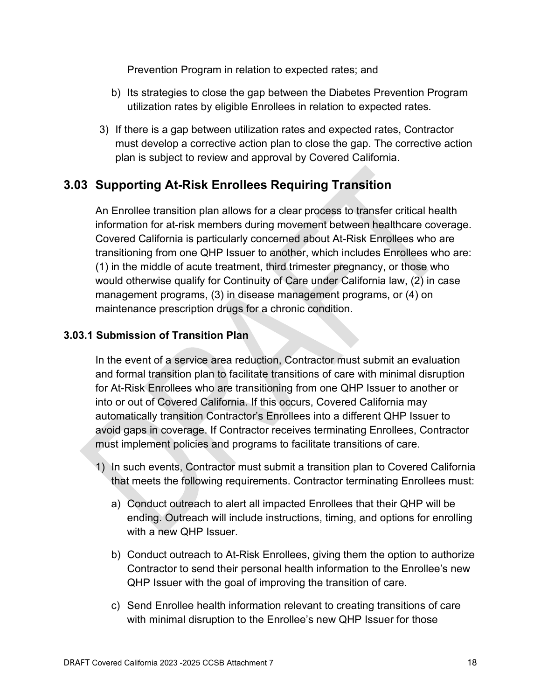Prevention Program in relation to expected rates; and

- b) Its strategies to close the gap between the Diabetes Prevention Program utilization rates by eligible Enrollees in relation to expected rates.
- 3) If there is a gap between utilization rates and expected rates, Contractor must develop a corrective action plan to close the gap. The corrective action plan is subject to review and approval by Covered California.

# **3.03 Supporting At-Risk Enrollees Requiring Transition**

An Enrollee transition plan allows for a clear process to transfer critical health information for at-risk members during movement between healthcare coverage. Covered California is particularly concerned about At-Risk Enrollees who are transitioning from one QHP Issuer to another, which includes Enrollees who are: (1) in the middle of acute treatment, third trimester pregnancy, or those who would otherwise qualify for Continuity of Care under California law, (2) in case management programs, (3) in disease management programs, or (4) on maintenance prescription drugs for a chronic condition.

#### **3.03.1 Submission of Transition Plan**

In the event of a service area reduction, Contractor must submit an evaluation and formal transition plan to facilitate transitions of care with minimal disruption for At-Risk Enrollees who are transitioning from one QHP Issuer to another or into or out of Covered California. If this occurs, Covered California may automatically transition Contractor's Enrollees into a different QHP Issuer to avoid gaps in coverage. If Contractor receives terminating Enrollees, Contractor must implement policies and programs to facilitate transitions of care.

- 1) In such events, Contractor must submit a transition plan to Covered California that meets the following requirements. Contractor terminating Enrollees must:
	- a) Conduct outreach to alert all impacted Enrollees that their QHP will be ending. Outreach will include instructions, timing, and options for enrolling with a new QHP Issuer.
	- b) Conduct outreach to At-Risk Enrollees, giving them the option to authorize Contractor to send their personal health information to the Enrollee's new QHP Issuer with the goal of improving the transition of care.
	- c) Send Enrollee health information relevant to creating transitions of care with minimal disruption to the Enrollee's new QHP Issuer for those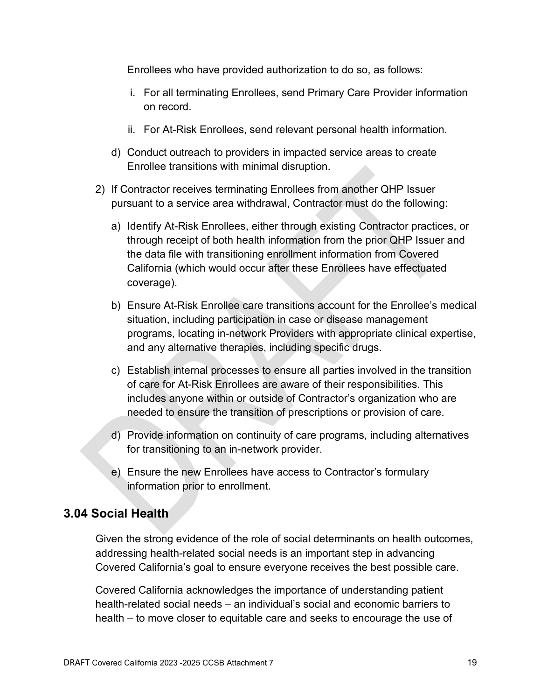Enrollees who have provided authorization to do so, as follows:

- i. For all terminating Enrollees, send Primary Care Provider information on record.
- ii. For At-Risk Enrollees, send relevant personal health information.
- d) Conduct outreach to providers in impacted service areas to create Enrollee transitions with minimal disruption.
- 2) If Contractor receives terminating Enrollees from another QHP Issuer pursuant to a service area withdrawal, Contractor must do the following:
	- a) Identify At-Risk Enrollees, either through existing Contractor practices, or through receipt of both health information from the prior QHP Issuer and the data file with transitioning enrollment information from Covered California (which would occur after these Enrollees have effectuated coverage).
	- b) Ensure At-Risk Enrollee care transitions account for the Enrollee's medical situation, including participation in case or disease management programs, locating in-network Providers with appropriate clinical expertise, and any alternative therapies, including specific drugs.
	- c) Establish internal processes to ensure all parties involved in the transition of care for At-Risk Enrollees are aware of their responsibilities. This includes anyone within or outside of Contractor's organization who are needed to ensure the transition of prescriptions or provision of care.
	- d) Provide information on continuity of care programs, including alternatives for transitioning to an in-network provider.
	- e) Ensure the new Enrollees have access to Contractor's formulary information prior to enrollment.

# **3.04 Social Health**

Given the strong evidence of the role of social determinants on health outcomes, addressing health-related social needs is an important step in advancing Covered California's goal to ensure everyone receives the best possible care.

Covered California acknowledges the importance of understanding patient health-related social needs – an individual's social and economic barriers to health – to move closer to equitable care and seeks to encourage the use of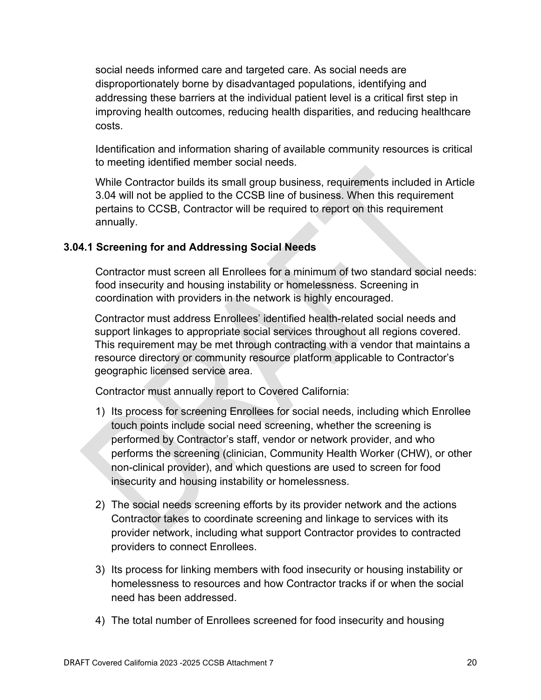social needs informed care and targeted care. As social needs are disproportionately borne by disadvantaged populations, identifying and addressing these barriers at the individual patient level is a critical first step in improving health outcomes, reducing health disparities, and reducing healthcare costs.

Identification and information sharing of available community resources is critical to meeting identified member social needs.

While Contractor builds its small group business, requirements included in Article 3.04 will not be applied to the CCSB line of business. When this requirement pertains to CCSB, Contractor will be required to report on this requirement annually.

#### **3.04.1 Screening for and Addressing Social Needs**

Contractor must screen all Enrollees for a minimum of two standard social needs: food insecurity and housing instability or homelessness. Screening in coordination with providers in the network is highly encouraged.

Contractor must address Enrollees' identified health-related social needs and support linkages to appropriate social services throughout all regions covered. This requirement may be met through contracting with a vendor that maintains a resource directory or community resource platform applicable to Contractor's geographic licensed service area.

Contractor must annually report to Covered California:

- 1) Its process for screening Enrollees for social needs, including which Enrollee touch points include social need screening, whether the screening is performed by Contractor's staff, vendor or network provider, and who performs the screening (clinician, Community Health Worker (CHW), or other non-clinical provider), and which questions are used to screen for food insecurity and housing instability or homelessness.
- 2) The social needs screening efforts by its provider network and the actions Contractor takes to coordinate screening and linkage to services with its provider network, including what support Contractor provides to contracted providers to connect Enrollees.
- 3) Its process for linking members with food insecurity or housing instability or homelessness to resources and how Contractor tracks if or when the social need has been addressed.
- 4) The total number of Enrollees screened for food insecurity and housing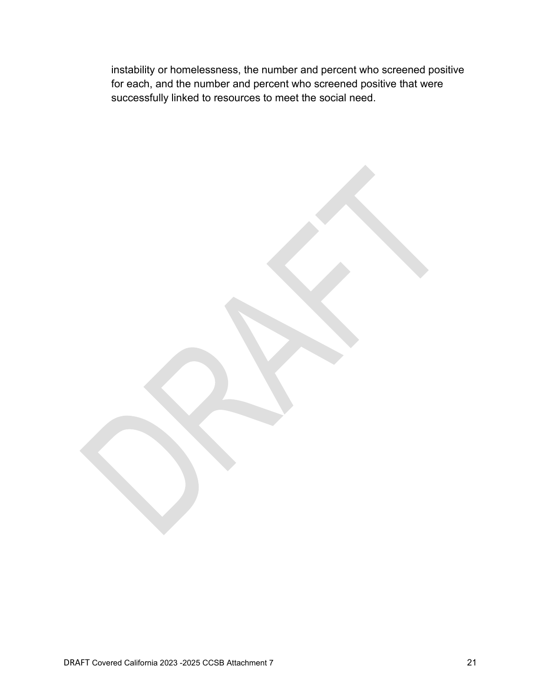instability or homelessness, the number and percent who screened positive for each, and the number and percent who screened positive that were successfully linked to resources to meet the social need.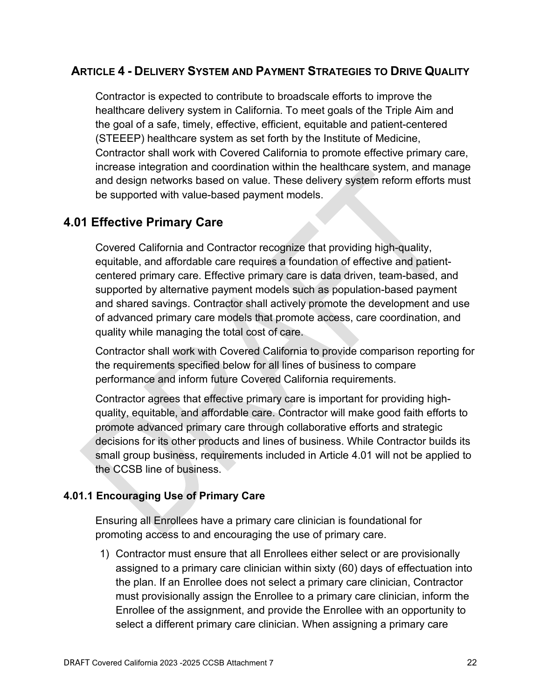### **ARTICLE 4 - DELIVERY SYSTEM AND PAYMENT STRATEGIES TO DRIVE QUALITY**

Contractor is expected to contribute to broadscale efforts to improve the healthcare delivery system in California. To meet goals of the Triple Aim and the goal of a safe, timely, effective, efficient, equitable and patient-centered (STEEEP) healthcare system as set forth by the Institute of Medicine, Contractor shall work with Covered California to promote effective primary care, increase integration and coordination within the healthcare system, and manage and design networks based on value. These delivery system reform efforts must be supported with value-based payment models.

# **4.01 Effective Primary Care**

Covered California and Contractor recognize that providing high-quality, equitable, and affordable care requires a foundation of effective and patientcentered primary care. Effective primary care is data driven, team-based, and supported by alternative payment models such as population-based payment and shared savings. Contractor shall actively promote the development and use of advanced primary care models that promote access, care coordination, and quality while managing the total cost of care.

Contractor shall work with Covered California to provide comparison reporting for the requirements specified below for all lines of business to compare performance and inform future Covered California requirements.

Contractor agrees that effective primary care is important for providing highquality, equitable, and affordable care. Contractor will make good faith efforts to promote advanced primary care through collaborative efforts and strategic decisions for its other products and lines of business. While Contractor builds its small group business, requirements included in Article 4.01 will not be applied to the CCSB line of business.

#### **4.01.1 Encouraging Use of Primary Care**

Ensuring all Enrollees have a primary care clinician is foundational for promoting access to and encouraging the use of primary care.

1) Contractor must ensure that all Enrollees either select or are provisionally assigned to a primary care clinician within sixty (60) days of effectuation into the plan. If an Enrollee does not select a primary care clinician, Contractor must provisionally assign the Enrollee to a primary care clinician, inform the Enrollee of the assignment, and provide the Enrollee with an opportunity to select a different primary care clinician. When assigning a primary care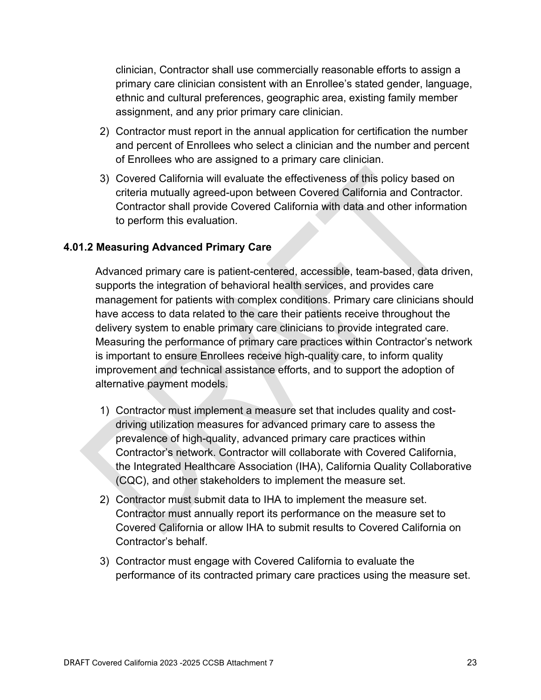clinician, Contractor shall use commercially reasonable efforts to assign a primary care clinician consistent with an Enrollee's stated gender, language, ethnic and cultural preferences, geographic area, existing family member assignment, and any prior primary care clinician.

- 2) Contractor must report in the annual application for certification the number and percent of Enrollees who select a clinician and the number and percent of Enrollees who are assigned to a primary care clinician.
- 3) Covered California will evaluate the effectiveness of this policy based on criteria mutually agreed-upon between Covered California and Contractor. Contractor shall provide Covered California with data and other information to perform this evaluation.

#### **4.01.2 Measuring Advanced Primary Care**

Advanced primary care is patient-centered, accessible, team-based, data driven, supports the integration of behavioral health services, and provides care management for patients with complex conditions. Primary care clinicians should have access to data related to the care their patients receive throughout the delivery system to enable primary care clinicians to provide integrated care. Measuring the performance of primary care practices within Contractor's network is important to ensure Enrollees receive high-quality care, to inform quality improvement and technical assistance efforts, and to support the adoption of alternative payment models.

- 1) Contractor must implement a measure set that includes quality and costdriving utilization measures for advanced primary care to assess the prevalence of high-quality, advanced primary care practices within Contractor's network. Contractor will collaborate with Covered California, the Integrated Healthcare Association (IHA), California Quality Collaborative (CQC), and other stakeholders to implement the measure set.
- 2) Contractor must submit data to IHA to implement the measure set. Contractor must annually report its performance on the measure set to Covered California or allow IHA to submit results to Covered California on Contractor's behalf.
- 3) Contractor must engage with Covered California to evaluate the performance of its contracted primary care practices using the measure set.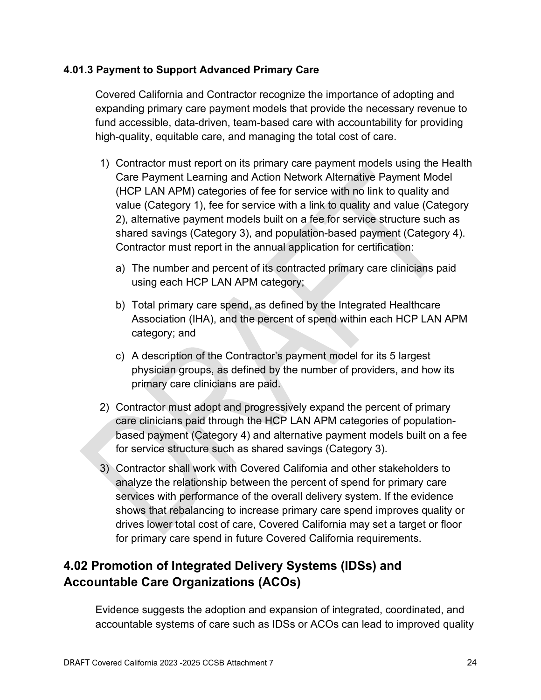#### **4.01.3 Payment to Support Advanced Primary Care**

Covered California and Contractor recognize the importance of adopting and expanding primary care payment models that provide the necessary revenue to fund accessible, data-driven, team-based care with accountability for providing high-quality, equitable care, and managing the total cost of care.

- 1) Contractor must report on its primary care payment models using the Health Care Payment Learning and Action Network Alternative Payment Model (HCP LAN APM) categories of fee for service with no link to quality and value (Category 1), fee for service with a link to quality and value (Category 2), alternative payment models built on a fee for service structure such as shared savings (Category 3), and population-based payment (Category 4). Contractor must report in the annual application for certification:
	- a) The number and percent of its contracted primary care clinicians paid using each HCP LAN APM category;
	- b) Total primary care spend, as defined by the Integrated Healthcare Association (IHA), and the percent of spend within each HCP LAN APM category; and
	- c) A description of the Contractor's payment model for its 5 largest physician groups, as defined by the number of providers, and how its primary care clinicians are paid.
- 2) Contractor must adopt and progressively expand the percent of primary care clinicians paid through the HCP LAN APM categories of populationbased payment (Category 4) and alternative payment models built on a fee for service structure such as shared savings (Category 3).
- 3) Contractor shall work with Covered California and other stakeholders to analyze the relationship between the percent of spend for primary care services with performance of the overall delivery system. If the evidence shows that rebalancing to increase primary care spend improves quality or drives lower total cost of care, Covered California may set a target or floor for primary care spend in future Covered California requirements.

# **4.02 Promotion of Integrated Delivery Systems (IDSs) and Accountable Care Organizations (ACOs)**

Evidence suggests the adoption and expansion of integrated, coordinated, and accountable systems of care such as IDSs or ACOs can lead to improved quality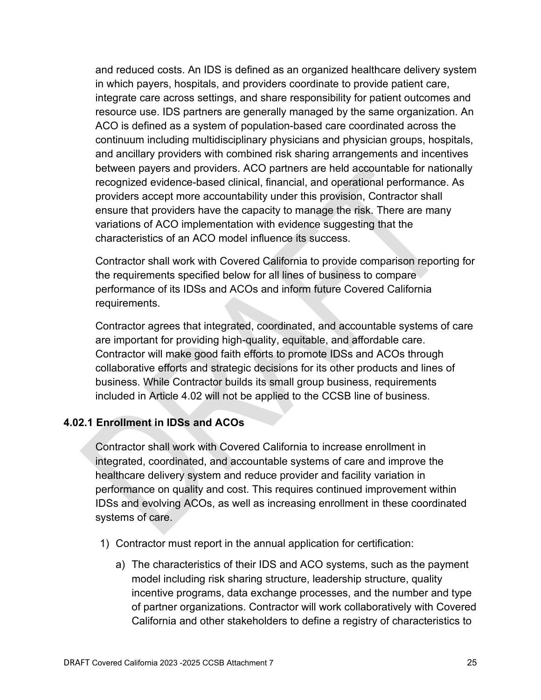and reduced costs. An IDS is defined as an organized healthcare delivery system in which payers, hospitals, and providers coordinate to provide patient care, integrate care across settings, and share responsibility for patient outcomes and resource use. IDS partners are generally managed by the same organization. An ACO is defined as a system of population-based care coordinated across the continuum including multidisciplinary physicians and physician groups, hospitals, and ancillary providers with combined risk sharing arrangements and incentives between payers and providers. ACO partners are held accountable for nationally recognized evidence-based clinical, financial, and operational performance. As providers accept more accountability under this provision, Contractor shall ensure that providers have the capacity to manage the risk. There are many variations of ACO implementation with evidence suggesting that the characteristics of an ACO model influence its success.

Contractor shall work with Covered California to provide comparison reporting for the requirements specified below for all lines of business to compare performance of its IDSs and ACOs and inform future Covered California requirements.

Contractor agrees that integrated, coordinated, and accountable systems of care are important for providing high-quality, equitable, and affordable care. Contractor will make good faith efforts to promote IDSs and ACOs through collaborative efforts and strategic decisions for its other products and lines of business. While Contractor builds its small group business, requirements included in Article 4.02 will not be applied to the CCSB line of business.

#### **4.02.1 Enrollment in IDSs and ACOs**

Contractor shall work with Covered California to increase enrollment in integrated, coordinated, and accountable systems of care and improve the healthcare delivery system and reduce provider and facility variation in performance on quality and cost. This requires continued improvement within IDSs and evolving ACOs, as well as increasing enrollment in these coordinated systems of care.

- 1) Contractor must report in the annual application for certification:
	- a) The characteristics of their IDS and ACO systems, such as the payment model including risk sharing structure, leadership structure, quality incentive programs, data exchange processes, and the number and type of partner organizations. Contractor will work collaboratively with Covered California and other stakeholders to define a registry of characteristics to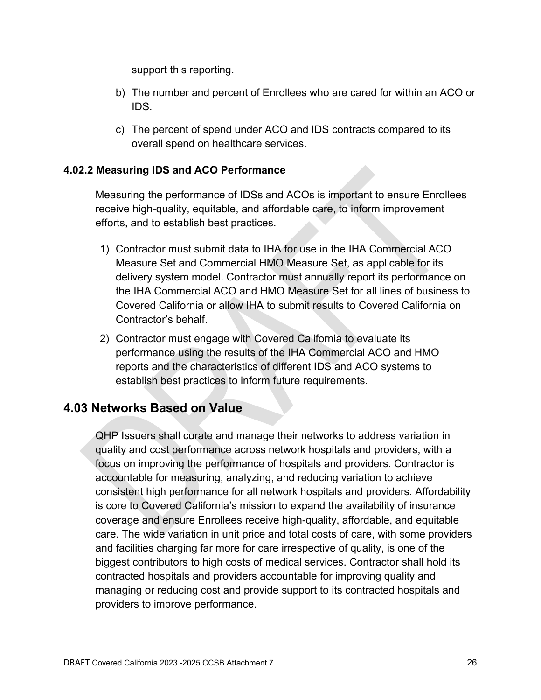support this reporting.

- b) The number and percent of Enrollees who are cared for within an ACO or IDS.
- c) The percent of spend under ACO and IDS contracts compared to its overall spend on healthcare services.

### **4.02.2 Measuring IDS and ACO Performance**

Measuring the performance of IDSs and ACOs is important to ensure Enrollees receive high-quality, equitable, and affordable care, to inform improvement efforts, and to establish best practices.

- 1) Contractor must submit data to IHA for use in the IHA Commercial ACO Measure Set and Commercial HMO Measure Set, as applicable for its delivery system model. Contractor must annually report its performance on the IHA Commercial ACO and HMO Measure Set for all lines of business to Covered California or allow IHA to submit results to Covered California on Contractor's behalf.
- 2) Contractor must engage with Covered California to evaluate its performance using the results of the IHA Commercial ACO and HMO reports and the characteristics of different IDS and ACO systems to establish best practices to inform future requirements.

# **4.03 Networks Based on Value**

QHP Issuers shall curate and manage their networks to address variation in quality and cost performance across network hospitals and providers, with a focus on improving the performance of hospitals and providers. Contractor is accountable for measuring, analyzing, and reducing variation to achieve consistent high performance for all network hospitals and providers. Affordability is core to Covered California's mission to expand the availability of insurance coverage and ensure Enrollees receive high-quality, affordable, and equitable care. The wide variation in unit price and total costs of care, with some providers and facilities charging far more for care irrespective of quality, is one of the biggest contributors to high costs of medical services. Contractor shall hold its contracted hospitals and providers accountable for improving quality and managing or reducing cost and provide support to its contracted hospitals and providers to improve performance.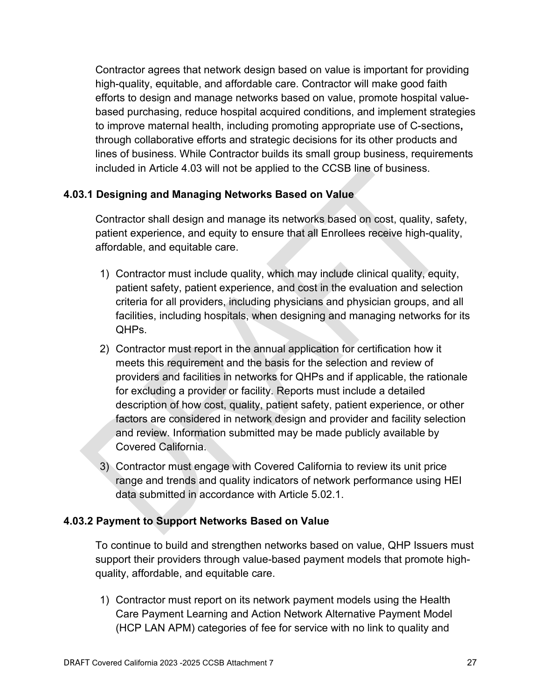Contractor agrees that network design based on value is important for providing high-quality, equitable, and affordable care. Contractor will make good faith efforts to design and manage networks based on value, promote hospital valuebased purchasing, reduce hospital acquired conditions, and implement strategies to improve maternal health, including promoting appropriate use of C-sections**,** through collaborative efforts and strategic decisions for its other products and lines of business. While Contractor builds its small group business, requirements included in Article 4.03 will not be applied to the CCSB line of business.

#### **4.03.1 Designing and Managing Networks Based on Value**

Contractor shall design and manage its networks based on cost, quality, safety, patient experience, and equity to ensure that all Enrollees receive high-quality, affordable, and equitable care.

- 1) Contractor must include quality, which may include clinical quality, equity, patient safety, patient experience, and cost in the evaluation and selection criteria for all providers, including physicians and physician groups, and all facilities, including hospitals, when designing and managing networks for its QHPs.
- 2) Contractor must report in the annual application for certification how it meets this requirement and the basis for the selection and review of providers and facilities in networks for QHPs and if applicable, the rationale for excluding a provider or facility. Reports must include a detailed description of how cost, quality, patient safety, patient experience, or other factors are considered in network design and provider and facility selection and review. Information submitted may be made publicly available by Covered California.
- 3) Contractor must engage with Covered California to review its unit price range and trends and quality indicators of network performance using HEI data submitted in accordance with Article 5.02.1.

### **4.03.2 Payment to Support Networks Based on Value**

To continue to build and strengthen networks based on value, QHP Issuers must support their providers through value-based payment models that promote highquality, affordable, and equitable care.

1) Contractor must report on its network payment models using the Health Care Payment Learning and Action Network Alternative Payment Model (HCP LAN APM) categories of fee for service with no link to quality and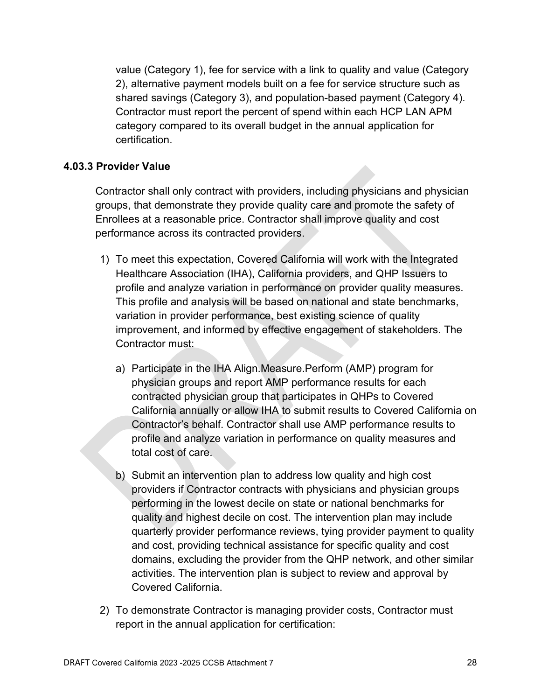value (Category 1), fee for service with a link to quality and value (Category 2), alternative payment models built on a fee for service structure such as shared savings (Category 3), and population-based payment (Category 4). Contractor must report the percent of spend within each HCP LAN APM category compared to its overall budget in the annual application for certification.

#### **4.03.3 Provider Value**

Contractor shall only contract with providers, including physicians and physician groups, that demonstrate they provide quality care and promote the safety of Enrollees at a reasonable price. Contractor shall improve quality and cost performance across its contracted providers.

- 1) To meet this expectation, Covered California will work with the Integrated Healthcare Association (IHA), California providers, and QHP Issuers to profile and analyze variation in performance on provider quality measures. This profile and analysis will be based on national and state benchmarks, variation in provider performance, best existing science of quality improvement, and informed by effective engagement of stakeholders. The Contractor must:
	- a) Participate in the IHA Align.Measure.Perform (AMP) program for physician groups and report AMP performance results for each contracted physician group that participates in QHPs to Covered California annually or allow IHA to submit results to Covered California on Contractor's behalf. Contractor shall use AMP performance results to profile and analyze variation in performance on quality measures and total cost of care.
	- b) Submit an intervention plan to address low quality and high cost providers if Contractor contracts with physicians and physician groups performing in the lowest decile on state or national benchmarks for quality and highest decile on cost. The intervention plan may include quarterly provider performance reviews, tying provider payment to quality and cost, providing technical assistance for specific quality and cost domains, excluding the provider from the QHP network, and other similar activities. The intervention plan is subject to review and approval by Covered California.
- 2) To demonstrate Contractor is managing provider costs, Contractor must report in the annual application for certification: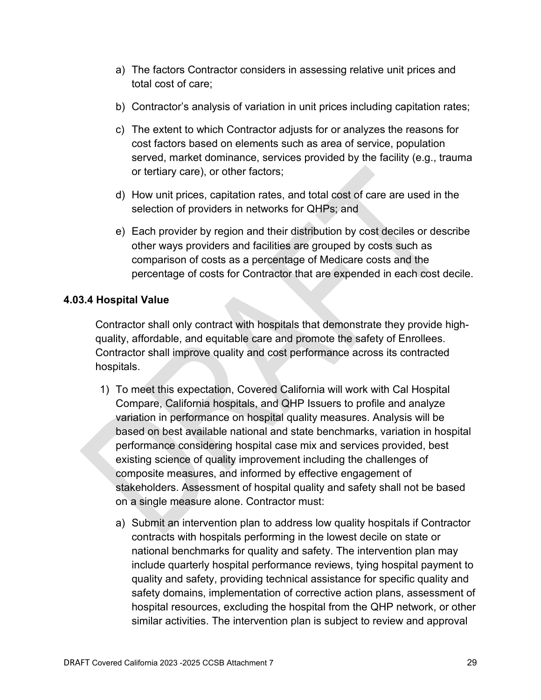- a) The factors Contractor considers in assessing relative unit prices and total cost of care;
- b) Contractor's analysis of variation in unit prices including capitation rates;
- c) The extent to which Contractor adjusts for or analyzes the reasons for cost factors based on elements such as area of service, population served, market dominance, services provided by the facility (e.g., trauma or tertiary care), or other factors;
- d) How unit prices, capitation rates, and total cost of care are used in the selection of providers in networks for QHPs; and
- e) Each provider by region and their distribution by cost deciles or describe other ways providers and facilities are grouped by costs such as comparison of costs as a percentage of Medicare costs and the percentage of costs for Contractor that are expended in each cost decile.

#### **4.03.4 Hospital Value**

Contractor shall only contract with hospitals that demonstrate they provide highquality, affordable, and equitable care and promote the safety of Enrollees. Contractor shall improve quality and cost performance across its contracted hospitals.

- 1) To meet this expectation, Covered California will work with Cal Hospital Compare, California hospitals, and QHP Issuers to profile and analyze variation in performance on hospital quality measures. Analysis will be based on best available national and state benchmarks, variation in hospital performance considering hospital case mix and services provided, best existing science of quality improvement including the challenges of composite measures, and informed by effective engagement of stakeholders. Assessment of hospital quality and safety shall not be based on a single measure alone. Contractor must:
	- a) Submit an intervention plan to address low quality hospitals if Contractor contracts with hospitals performing in the lowest decile on state or national benchmarks for quality and safety. The intervention plan may include quarterly hospital performance reviews, tying hospital payment to quality and safety, providing technical assistance for specific quality and safety domains, implementation of corrective action plans, assessment of hospital resources, excluding the hospital from the QHP network, or other similar activities. The intervention plan is subject to review and approval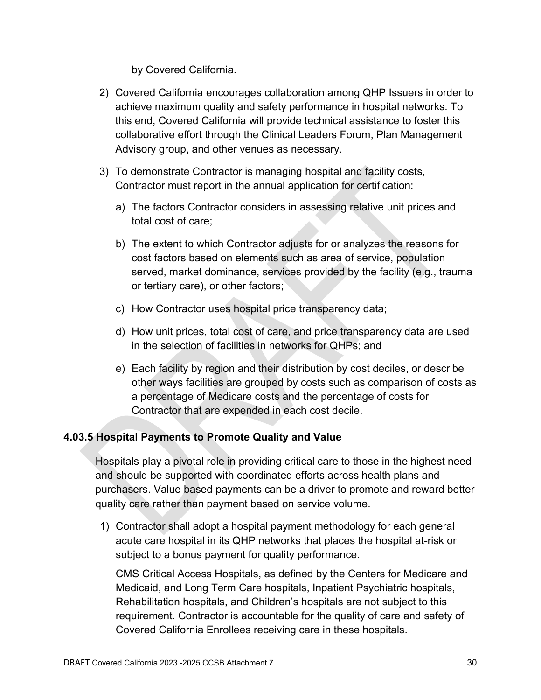by Covered California.

- 2) Covered California encourages collaboration among QHP Issuers in order to achieve maximum quality and safety performance in hospital networks. To this end, Covered California will provide technical assistance to foster this collaborative effort through the Clinical Leaders Forum, Plan Management Advisory group, and other venues as necessary.
- 3) To demonstrate Contractor is managing hospital and facility costs, Contractor must report in the annual application for certification:
	- a) The factors Contractor considers in assessing relative unit prices and total cost of care;
	- b) The extent to which Contractor adjusts for or analyzes the reasons for cost factors based on elements such as area of service, population served, market dominance, services provided by the facility (e.g., trauma or tertiary care), or other factors;
	- c) How Contractor uses hospital price transparency data;
	- d) How unit prices, total cost of care, and price transparency data are used in the selection of facilities in networks for QHPs; and
	- e) Each facility by region and their distribution by cost deciles, or describe other ways facilities are grouped by costs such as comparison of costs as a percentage of Medicare costs and the percentage of costs for Contractor that are expended in each cost decile.

### **4.03.5 Hospital Payments to Promote Quality and Value**

Hospitals play a pivotal role in providing critical care to those in the highest need and should be supported with coordinated efforts across health plans and purchasers. Value based payments can be a driver to promote and reward better quality care rather than payment based on service volume.

1) Contractor shall adopt a hospital payment methodology for each general acute care hospital in its QHP networks that places the hospital at-risk or subject to a bonus payment for quality performance.

CMS Critical Access Hospitals, as defined by the Centers for Medicare and Medicaid, and Long Term Care hospitals, Inpatient Psychiatric hospitals, Rehabilitation hospitals, and Children's hospitals are not subject to this requirement. Contractor is accountable for the quality of care and safety of Covered California Enrollees receiving care in these hospitals.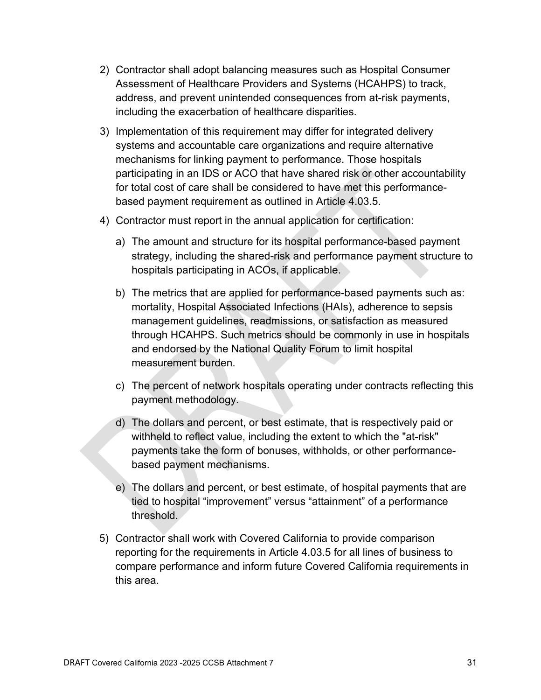- 2) Contractor shall adopt balancing measures such as Hospital Consumer Assessment of Healthcare Providers and Systems (HCAHPS) to track, address, and prevent unintended consequences from at-risk payments, including the exacerbation of healthcare disparities.
- 3) Implementation of this requirement may differ for integrated delivery systems and accountable care organizations and require alternative mechanisms for linking payment to performance. Those hospitals participating in an IDS or ACO that have shared risk or other accountability for total cost of care shall be considered to have met this performancebased payment requirement as outlined in Article 4.03.5.
- 4) Contractor must report in the annual application for certification:
	- a) The amount and structure for its hospital performance-based payment strategy, including the shared-risk and performance payment structure to hospitals participating in ACOs, if applicable.
	- b) The metrics that are applied for performance-based payments such as: mortality, Hospital Associated Infections (HAIs), adherence to sepsis management guidelines, readmissions, or satisfaction as measured through HCAHPS. Such metrics should be commonly in use in hospitals and endorsed by the National Quality Forum to limit hospital measurement burden.
	- c) The percent of network hospitals operating under contracts reflecting this payment methodology.
	- d) The dollars and percent, or best estimate, that is respectively paid or withheld to reflect value, including the extent to which the "at-risk" payments take the form of bonuses, withholds, or other performancebased payment mechanisms.
	- e) The dollars and percent, or best estimate, of hospital payments that are tied to hospital "improvement" versus "attainment" of a performance threshold.
- 5) Contractor shall work with Covered California to provide comparison reporting for the requirements in Article 4.03.5 for all lines of business to compare performance and inform future Covered California requirements in this area.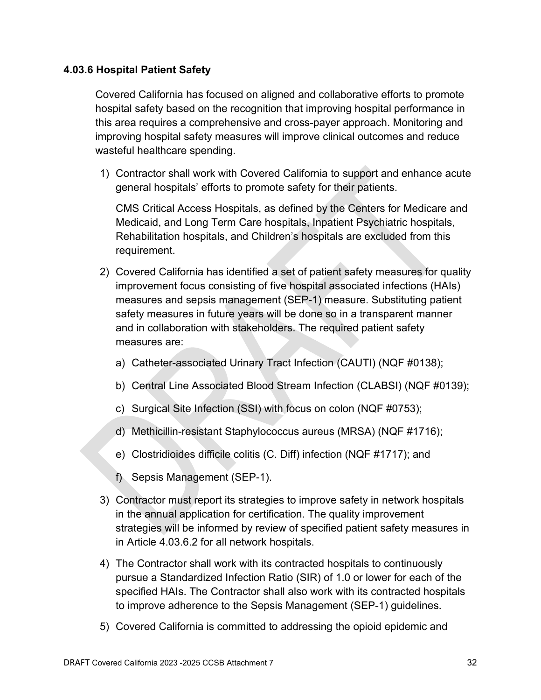#### **4.03.6 Hospital Patient Safety**

Covered California has focused on aligned and collaborative efforts to promote hospital safety based on the recognition that improving hospital performance in this area requires a comprehensive and cross-payer approach. Monitoring and improving hospital safety measures will improve clinical outcomes and reduce wasteful healthcare spending.

1) Contractor shall work with Covered California to support and enhance acute general hospitals' efforts to promote safety for their patients.

CMS Critical Access Hospitals, as defined by the Centers for Medicare and Medicaid, and Long Term Care hospitals, Inpatient Psychiatric hospitals, Rehabilitation hospitals, and Children's hospitals are excluded from this requirement.

- 2) Covered California has identified a set of patient safety measures for quality improvement focus consisting of five hospital associated infections (HAIs) measures and sepsis management (SEP-1) measure. Substituting patient safety measures in future years will be done so in a transparent manner and in collaboration with stakeholders. The required patient safety measures are:
	- a) Catheter-associated Urinary Tract Infection (CAUTI) (NQF #0138);
	- b) Central Line Associated Blood Stream Infection (CLABSI) (NQF #0139);
	- c) Surgical Site Infection (SSI) with focus on colon (NQF #0753);
	- d) Methicillin-resistant Staphylococcus aureus (MRSA) (NQF #1716);
	- e) Clostridioides difficile colitis (C. Diff) infection (NQF #1717); and
	- f) Sepsis Management (SEP-1).
- 3) Contractor must report its strategies to improve safety in network hospitals in the annual application for certification. The quality improvement strategies will be informed by review of specified patient safety measures in in Article 4.03.6.2 for all network hospitals.
- 4) The Contractor shall work with its contracted hospitals to continuously pursue a Standardized Infection Ratio (SIR) of 1.0 or lower for each of the specified HAIs. The Contractor shall also work with its contracted hospitals to improve adherence to the Sepsis Management (SEP-1) guidelines.
- 5) Covered California is committed to addressing the opioid epidemic and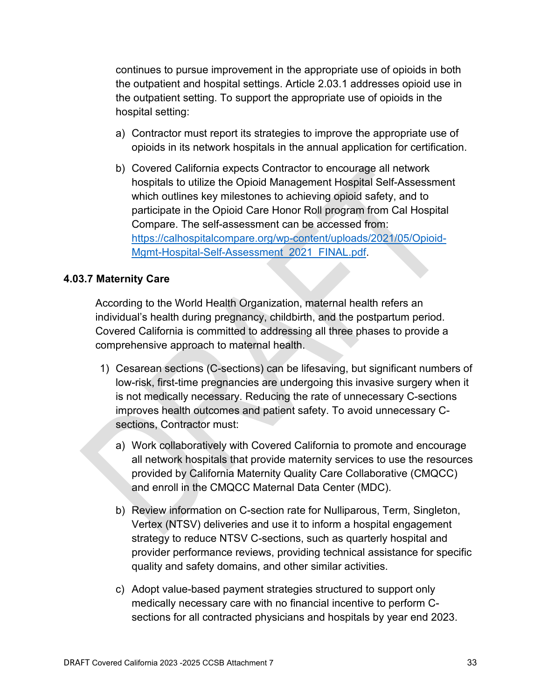continues to pursue improvement in the appropriate use of opioids in both the outpatient and hospital settings. Article 2.03.1 addresses opioid use in the outpatient setting. To support the appropriate use of opioids in the hospital setting:

- a) Contractor must report its strategies to improve the appropriate use of opioids in its network hospitals in the annual application for certification.
- b) Covered California expects Contractor to encourage all network hospitals to utilize the Opioid Management Hospital Self-Assessment which outlines key milestones to achieving opioid safety, and to participate in the Opioid Care Honor Roll program from Cal Hospital Compare. The self-assessment can be accessed from: [https://calhospitalcompare.org/wp-content/uploads/2021/05/Opioid-](https://calhospitalcompare.org/wp-content/uploads/2021/05/Opioid-Mgmt-Hospital-Self-Assessment_2021_FINAL.pdf)[Mgmt-Hospital-Self-Assessment\\_2021\\_FINAL.pdf.](https://calhospitalcompare.org/wp-content/uploads/2021/05/Opioid-Mgmt-Hospital-Self-Assessment_2021_FINAL.pdf)

#### **4.03.7 Maternity Care**

According to the World Health Organization, maternal health refers an individual's health during pregnancy, childbirth, and the postpartum period. Covered California is committed to addressing all three phases to provide a comprehensive approach to maternal health.

- 1) Cesarean sections (C-sections) can be lifesaving, but significant numbers of low-risk, first-time pregnancies are undergoing this invasive surgery when it is not medically necessary. Reducing the rate of unnecessary C-sections improves health outcomes and patient safety. To avoid unnecessary Csections, Contractor must:
	- a) Work collaboratively with Covered California to promote and encourage all network hospitals that provide maternity services to use the resources provided by California Maternity Quality Care Collaborative (CMQCC) and enroll in the CMQCC Maternal Data Center (MDC).
	- b) Review information on C-section rate for Nulliparous, Term, Singleton, Vertex (NTSV) deliveries and use it to inform a hospital engagement strategy to reduce NTSV C-sections, such as quarterly hospital and provider performance reviews, providing technical assistance for specific quality and safety domains, and other similar activities.
	- c) Adopt value-based payment strategies structured to support only medically necessary care with no financial incentive to perform Csections for all contracted physicians and hospitals by year end 2023.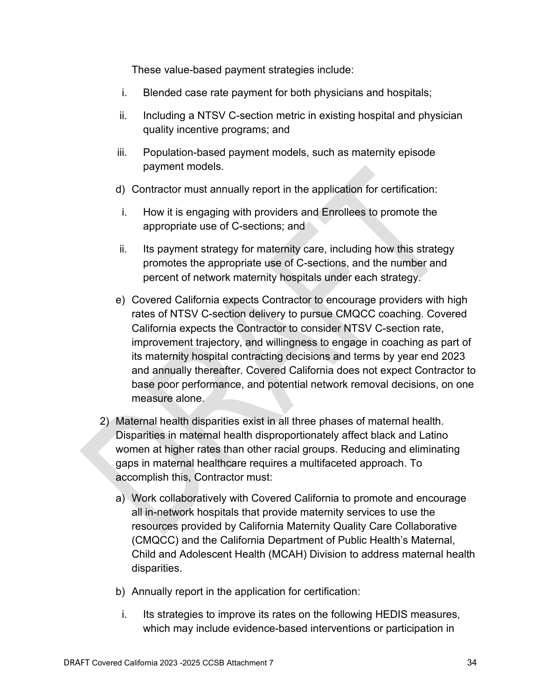These value-based payment strategies include:

- i. Blended case rate payment for both physicians and hospitals;
- ii. Including a NTSV C-section metric in existing hospital and physician quality incentive programs; and
- iii. Population-based payment models, such as maternity episode payment models.
- d) Contractor must annually report in the application for certification:
- i. How it is engaging with providers and Enrollees to promote the appropriate use of C-sections; and
- ii. Its payment strategy for maternity care, including how this strategy promotes the appropriate use of C-sections, and the number and percent of network maternity hospitals under each strategy.
- e) Covered California expects Contractor to encourage providers with high rates of NTSV C-section delivery to pursue CMQCC coaching. Covered California expects the Contractor to consider NTSV C-section rate, improvement trajectory, and willingness to engage in coaching as part of its maternity hospital contracting decisions and terms by year end 2023 and annually thereafter. Covered California does not expect Contractor to base poor performance, and potential network removal decisions, on one measure alone.
- 2) Maternal health disparities exist in all three phases of maternal health. Disparities in maternal health disproportionately affect black and Latino women at higher rates than other racial groups. Reducing and eliminating gaps in maternal healthcare requires a multifaceted approach. To accomplish this, Contractor must:
	- a) Work collaboratively with Covered California to promote and encourage all in-network hospitals that provide maternity services to use the resources provided by California Maternity Quality Care Collaborative (CMQCC) and the California Department of Public Health's Maternal, Child and Adolescent Health (MCAH) Division to address maternal health disparities.
	- b) Annually report in the application for certification:
		- i. Its strategies to improve its rates on the following HEDIS measures, which may include evidence-based interventions or participation in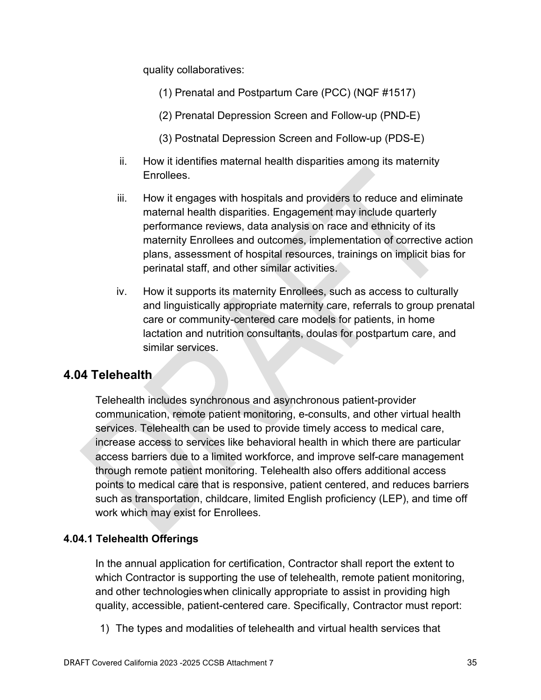quality collaboratives:

- (1) Prenatal and Postpartum Care (PCC) (NQF #1517)
- (2) Prenatal Depression Screen and Follow-up (PND-E)
- (3) Postnatal Depression Screen and Follow-up (PDS-E)
- ii. How it identifies maternal health disparities among its maternity Enrollees.
- iii. How it engages with hospitals and providers to reduce and eliminate maternal health disparities. Engagement may include quarterly performance reviews, data analysis on race and ethnicity of its maternity Enrollees and outcomes, implementation of corrective action plans, assessment of hospital resources, trainings on implicit bias for perinatal staff, and other similar activities.
- iv. How it supports its maternity Enrollees, such as access to culturally and linguistically appropriate maternity care, referrals to group prenatal care or community-centered care models for patients, in home lactation and nutrition consultants, doulas for postpartum care, and similar services.

# **4.04 Telehealth**

Telehealth includes synchronous and asynchronous patient-provider communication, remote patient monitoring, e-consults, and other virtual health services. Telehealth can be used to provide timely access to medical care, increase access to services like behavioral health in which there are particular access barriers due to a limited workforce, and improve self-care management through remote patient monitoring. Telehealth also offers additional access points to medical care that is responsive, patient centered, and reduces barriers such as transportation, childcare, limited English proficiency (LEP), and time off work which may exist for Enrollees.

## **4.04.1 Telehealth Offerings**

In the annual application for certification, Contractor shall report the extent to which Contractor is supporting the use of telehealth, remote patient monitoring, and other technologieswhen clinically appropriate to assist in providing high quality, accessible, patient-centered care. Specifically, Contractor must report:

1) The types and modalities of telehealth and virtual health services that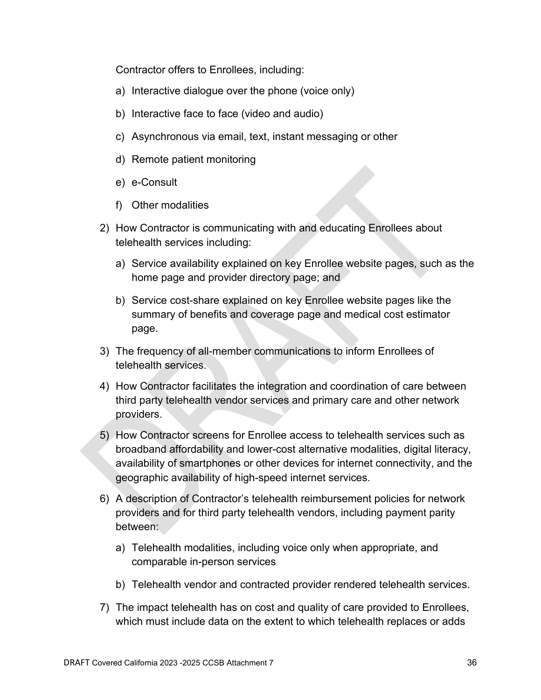Contractor offers to Enrollees, including:

- a) Interactive dialogue over the phone (voice only)
- b) Interactive face to face (video and audio)
- c) Asynchronous via email, text, instant messaging or other
- d) Remote patient monitoring
- e) e-Consult
- f) Other modalities
- 2) How Contractor is communicating with and educating Enrollees about telehealth services including:
	- a) Service availability explained on key Enrollee website pages, such as the home page and provider directory page; and
	- b) Service cost-share explained on key Enrollee website pages like the summary of benefits and coverage page and medical cost estimator page.
- 3) The frequency of all-member communications to inform Enrollees of telehealth services.
- 4) How Contractor facilitates the integration and coordination of care between third party telehealth vendor services and primary care and other network providers.
- 5) How Contractor screens for Enrollee access to telehealth services such as broadband affordability and lower-cost alternative modalities, digital literacy, availability of smartphones or other devices for internet connectivity, and the geographic availability of high-speed internet services.
- 6) A description of Contractor's telehealth reimbursement policies for network providers and for third party telehealth vendors, including payment parity between:
	- a) Telehealth modalities, including voice only when appropriate, and comparable in-person services
	- b) Telehealth vendor and contracted provider rendered telehealth services.
- 7) The impact telehealth has on cost and quality of care provided to Enrollees, which must include data on the extent to which telehealth replaces or adds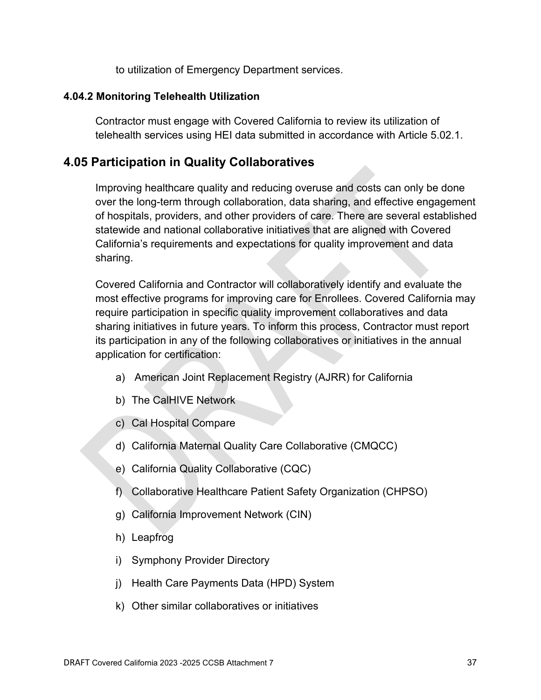to utilization of Emergency Department services.

#### **4.04.2 Monitoring Telehealth Utilization**

Contractor must engage with Covered California to review its utilization of telehealth services using HEI data submitted in accordance with Article 5.02.1.

### **4.05 Participation in Quality Collaboratives**

Improving healthcare quality and reducing overuse and costs can only be done over the long-term through collaboration, data sharing, and effective engagement of hospitals, providers, and other providers of care. There are several established statewide and national collaborative initiatives that are aligned with Covered California's requirements and expectations for quality improvement and data sharing.

Covered California and Contractor will collaboratively identify and evaluate the most effective programs for improving care for Enrollees. Covered California may require participation in specific quality improvement collaboratives and data sharing initiatives in future years. To inform this process, Contractor must report its participation in any of the following collaboratives or initiatives in the annual application for certification:

- a) American Joint Replacement Registry (AJRR) for California
- b) The CalHIVE Network
- c) Cal Hospital Compare
- d) California Maternal Quality Care Collaborative (CMQCC)
- e) California Quality Collaborative (CQC)
- f) Collaborative Healthcare Patient Safety Organization (CHPSO)
- g) California Improvement Network (CIN)
- h) Leapfrog
- i) Symphony Provider Directory
- j) Health Care Payments Data (HPD) System
- k) Other similar collaboratives or initiatives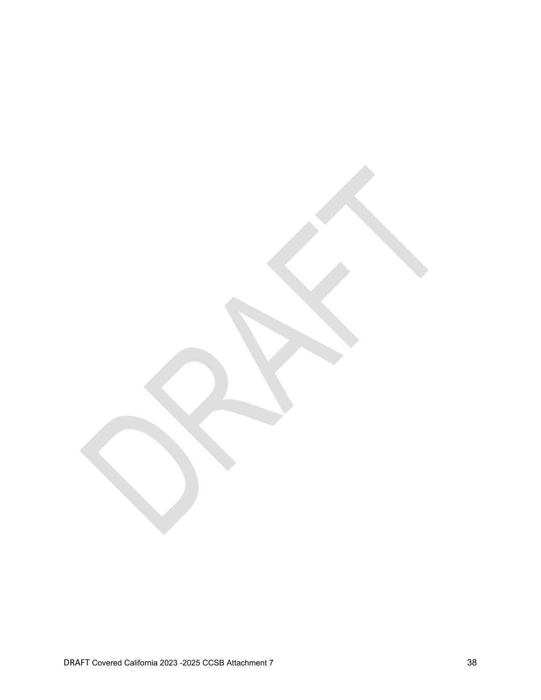DRAFT Covered California 2023 -2025 CCSB Attachment 7 38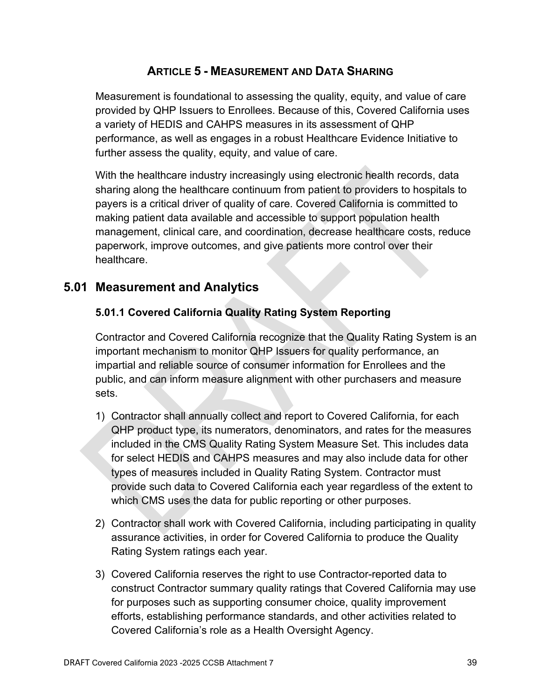## **ARTICLE 5 - MEASUREMENT AND DATA SHARING**

Measurement is foundational to assessing the quality, equity, and value of care provided by QHP Issuers to Enrollees. Because of this, Covered California uses a variety of HEDIS and CAHPS measures in its assessment of QHP performance, as well as engages in a robust Healthcare Evidence Initiative to further assess the quality, equity, and value of care.

With the healthcare industry increasingly using electronic health records, data sharing along the healthcare continuum from patient to providers to hospitals to payers is a critical driver of quality of care. Covered California is committed to making patient data available and accessible to support population health management, clinical care, and coordination, decrease healthcare costs, reduce paperwork, improve outcomes, and give patients more control over their healthcare.

## **5.01 Measurement and Analytics**

### **5.01.1 Covered California Quality Rating System Reporting**

Contractor and Covered California recognize that the Quality Rating System is an important mechanism to monitor QHP Issuers for quality performance, an impartial and reliable source of consumer information for Enrollees and the public, and can inform measure alignment with other purchasers and measure sets.

- 1) Contractor shall annually collect and report to Covered California, for each QHP product type, its numerators, denominators, and rates for the measures included in the CMS Quality Rating System Measure Set. This includes data for select HEDIS and CAHPS measures and may also include data for other types of measures included in Quality Rating System. Contractor must provide such data to Covered California each year regardless of the extent to which CMS uses the data for public reporting or other purposes.
- 2) Contractor shall work with Covered California, including participating in quality assurance activities, in order for Covered California to produce the Quality Rating System ratings each year.
- 3) Covered California reserves the right to use Contractor-reported data to construct Contractor summary quality ratings that Covered California may use for purposes such as supporting consumer choice, quality improvement efforts, establishing performance standards, and other activities related to Covered California's role as a Health Oversight Agency.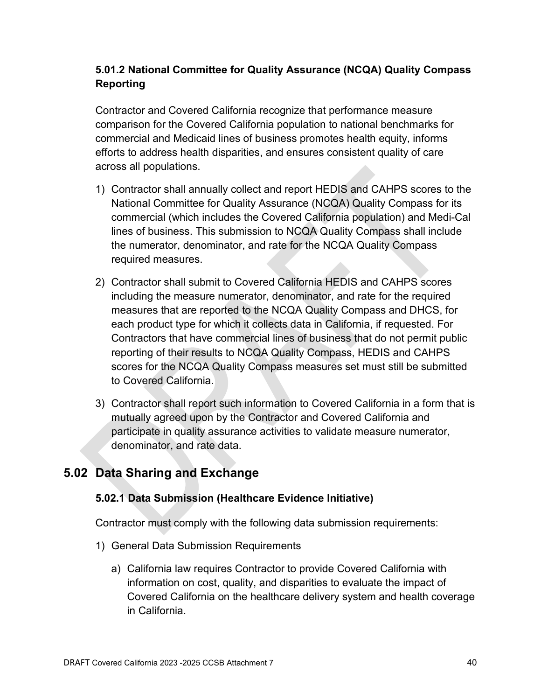## **5.01.2 National Committee for Quality Assurance (NCQA) Quality Compass Reporting**

Contractor and Covered California recognize that performance measure comparison for the Covered California population to national benchmarks for commercial and Medicaid lines of business promotes health equity, informs efforts to address health disparities, and ensures consistent quality of care across all populations.

- 1) Contractor shall annually collect and report HEDIS and CAHPS scores to the National Committee for Quality Assurance (NCQA) Quality Compass for its commercial (which includes the Covered California population) and Medi-Cal lines of business. This submission to NCQA Quality Compass shall include the numerator, denominator, and rate for the NCQA Quality Compass required measures.
- 2) Contractor shall submit to Covered California HEDIS and CAHPS scores including the measure numerator, denominator, and rate for the required measures that are reported to the NCQA Quality Compass and DHCS, for each product type for which it collects data in California, if requested. For Contractors that have commercial lines of business that do not permit public reporting of their results to NCQA Quality Compass, HEDIS and CAHPS scores for the NCQA Quality Compass measures set must still be submitted to Covered California.
- 3) Contractor shall report such information to Covered California in a form that is mutually agreed upon by the Contractor and Covered California and participate in quality assurance activities to validate measure numerator, denominator, and rate data.

# **5.02 Data Sharing and Exchange**

## **5.02.1 Data Submission (Healthcare Evidence Initiative)**

Contractor must comply with the following data submission requirements:

- 1) General Data Submission Requirements
	- a) California law requires Contractor to provide Covered California with information on cost, quality, and disparities to evaluate the impact of Covered California on the healthcare delivery system and health coverage in California.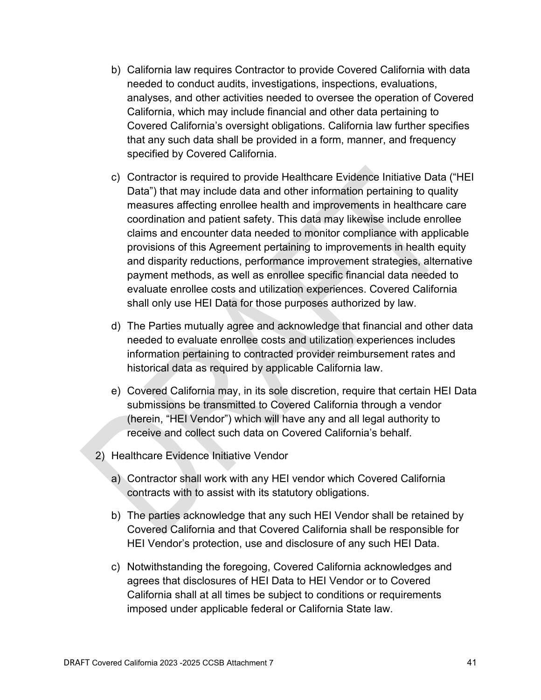- b) California law requires Contractor to provide Covered California with data needed to conduct audits, investigations, inspections, evaluations, analyses, and other activities needed to oversee the operation of Covered California, which may include financial and other data pertaining to Covered California's oversight obligations. California law further specifies that any such data shall be provided in a form, manner, and frequency specified by Covered California.
- c) Contractor is required to provide Healthcare Evidence Initiative Data ("HEI Data") that may include data and other information pertaining to quality measures affecting enrollee health and improvements in healthcare care coordination and patient safety. This data may likewise include enrollee claims and encounter data needed to monitor compliance with applicable provisions of this Agreement pertaining to improvements in health equity and disparity reductions, performance improvement strategies, alternative payment methods, as well as enrollee specific financial data needed to evaluate enrollee costs and utilization experiences. Covered California shall only use HEI Data for those purposes authorized by law.
- d) The Parties mutually agree and acknowledge that financial and other data needed to evaluate enrollee costs and utilization experiences includes information pertaining to contracted provider reimbursement rates and historical data as required by applicable California law.
- e) Covered California may, in its sole discretion, require that certain HEI Data submissions be transmitted to Covered California through a vendor (herein, "HEI Vendor") which will have any and all legal authority to receive and collect such data on Covered California's behalf.
- 2) Healthcare Evidence Initiative Vendor
	- a) Contractor shall work with any HEI vendor which Covered California contracts with to assist with its statutory obligations.
	- b) The parties acknowledge that any such HEI Vendor shall be retained by Covered California and that Covered California shall be responsible for HEI Vendor's protection, use and disclosure of any such HEI Data.
	- c) Notwithstanding the foregoing, Covered California acknowledges and agrees that disclosures of HEI Data to HEI Vendor or to Covered California shall at all times be subject to conditions or requirements imposed under applicable federal or California State law.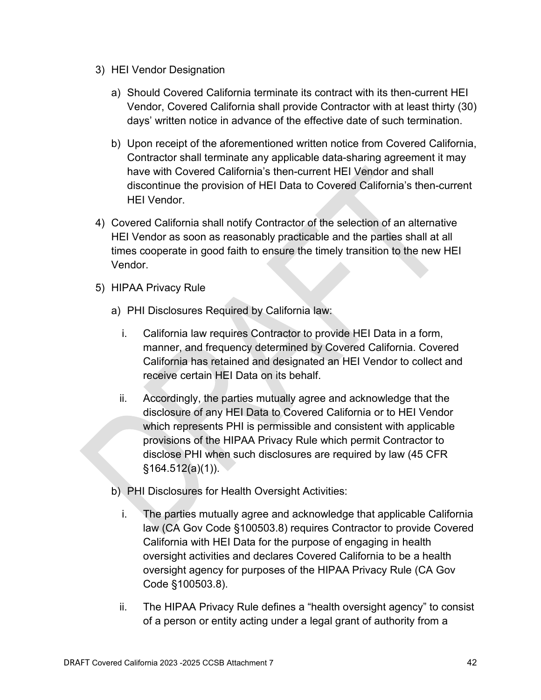- 3) HEI Vendor Designation
	- a) Should Covered California terminate its contract with its then-current HEI Vendor, Covered California shall provide Contractor with at least thirty (30) days' written notice in advance of the effective date of such termination.
	- b) Upon receipt of the aforementioned written notice from Covered California, Contractor shall terminate any applicable data-sharing agreement it may have with Covered California's then-current HEI Vendor and shall discontinue the provision of HEI Data to Covered California's then-current HEI Vendor.
- 4) Covered California shall notify Contractor of the selection of an alternative HEI Vendor as soon as reasonably practicable and the parties shall at all times cooperate in good faith to ensure the timely transition to the new HEI Vendor.
- 5) HIPAA Privacy Rule
	- a) PHI Disclosures Required by California law:
		- i. California law requires Contractor to provide HEI Data in a form, manner, and frequency determined by Covered California. Covered California has retained and designated an HEI Vendor to collect and receive certain HEI Data on its behalf.
		- ii. Accordingly, the parties mutually agree and acknowledge that the disclosure of any HEI Data to Covered California or to HEI Vendor which represents PHI is permissible and consistent with applicable provisions of the HIPAA Privacy Rule which permit Contractor to disclose PHI when such disclosures are required by law (45 CFR §164.512(a)(1)).
	- b) PHI Disclosures for Health Oversight Activities:
		- i. The parties mutually agree and acknowledge that applicable California law (CA Gov Code §100503.8) requires Contractor to provide Covered California with HEI Data for the purpose of engaging in health oversight activities and declares Covered California to be a health oversight agency for purposes of the HIPAA Privacy Rule (CA Gov Code §100503.8).
		- ii. The HIPAA Privacy Rule defines a "health oversight agency" to consist of a person or entity acting under a legal grant of authority from a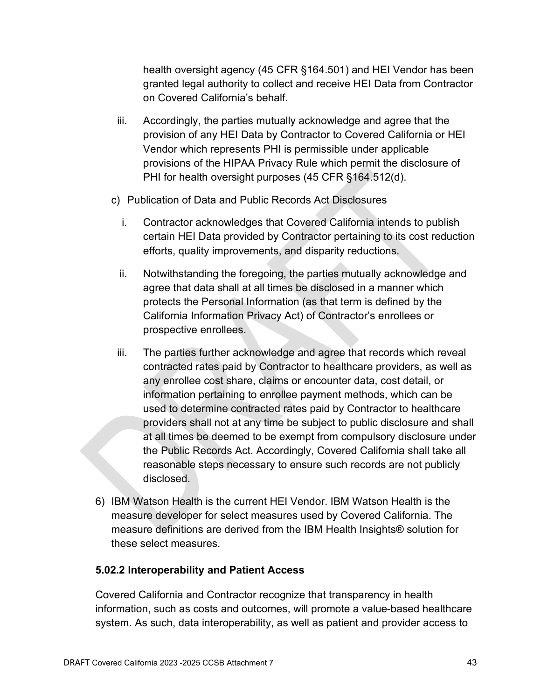health oversight agency (45 CFR §164.501) and HEI Vendor has been granted legal authority to collect and receive HEI Data from Contractor on Covered California's behalf.

- iii. Accordingly, the parties mutually acknowledge and agree that the provision of any HEI Data by Contractor to Covered California or HEI Vendor which represents PHI is permissible under applicable provisions of the HIPAA Privacy Rule which permit the disclosure of PHI for health oversight purposes (45 CFR §164.512(d).
- c) Publication of Data and Public Records Act Disclosures
	- i. Contractor acknowledges that Covered California intends to publish certain HEI Data provided by Contractor pertaining to its cost reduction efforts, quality improvements, and disparity reductions.
	- ii. Notwithstanding the foregoing, the parties mutually acknowledge and agree that data shall at all times be disclosed in a manner which protects the Personal Information (as that term is defined by the California Information Privacy Act) of Contractor's enrollees or prospective enrollees.
- iii. The parties further acknowledge and agree that records which reveal contracted rates paid by Contractor to healthcare providers, as well as any enrollee cost share, claims or encounter data, cost detail, or information pertaining to enrollee payment methods, which can be used to determine contracted rates paid by Contractor to healthcare providers shall not at any time be subject to public disclosure and shall at all times be deemed to be exempt from compulsory disclosure under the Public Records Act. Accordingly, Covered California shall take all reasonable steps necessary to ensure such records are not publicly disclosed.
- 6) IBM Watson Health is the current HEI Vendor. IBM Watson Health is the measure developer for select measures used by Covered California. The measure definitions are derived from the IBM Health Insights® solution for these select measures.

### **5.02.2 Interoperability and Patient Access**

Covered California and Contractor recognize that transparency in health information, such as costs and outcomes, will promote a value-based healthcare system. As such, data interoperability, as well as patient and provider access to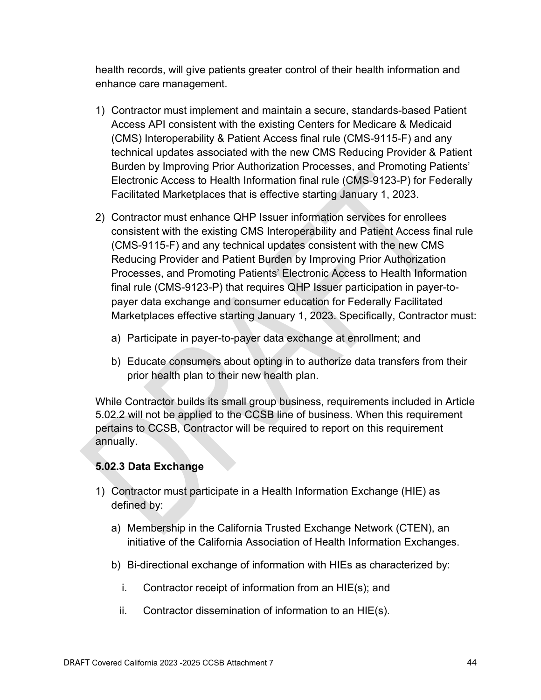health records, will give patients greater control of their health information and enhance care management.

- 1) Contractor must implement and maintain a secure, standards-based Patient Access API consistent with the existing Centers for Medicare & Medicaid (CMS) Interoperability & Patient Access final rule (CMS-9115-F) and any technical updates associated with the new CMS Reducing Provider & Patient Burden by Improving Prior Authorization Processes, and Promoting Patients' Electronic Access to Health Information final rule (CMS-9123-P) for Federally Facilitated Marketplaces that is effective starting January 1, 2023.
- 2) Contractor must enhance QHP Issuer information services for enrollees consistent with the existing [CMS Interoperability and Patient Access final rule](https://www.cms.gov/Regulations-and-Guidance/Guidance/Interoperability/index) (CMS-9115-F) and any technical updates consistent with the new CMS Reducing Provider and Patient Burden by Improving Prior Authorization Processes, and Promoting Patients' Electronic Access to Health Information final rule (CMS-9123-P) that requires QHP Issuer participation in payer-topayer data exchange and consumer education for Federally Facilitated Marketplaces effective starting January 1, 2023. Specifically, Contractor must:
	- a) Participate in payer-to-payer data exchange at enrollment; and
	- b) Educate consumers about opting in to authorize data transfers from their prior health plan to their new health plan.

While Contractor builds its small group business, requirements included in Article 5.02.2 will not be applied to the CCSB line of business. When this requirement pertains to CCSB, Contractor will be required to report on this requirement annually.

## **5.02.3 Data Exchange**

- 1) Contractor must participate in a Health Information Exchange (HIE) as defined by:
	- a) Membership in the California Trusted Exchange Network (CTEN), an initiative of the California Association of Health Information Exchanges.
	- b) Bi-directional exchange of information with HIEs as characterized by:
		- i. Contractor receipt of information from an HIE(s); and
		- ii. Contractor dissemination of information to an HIE(s).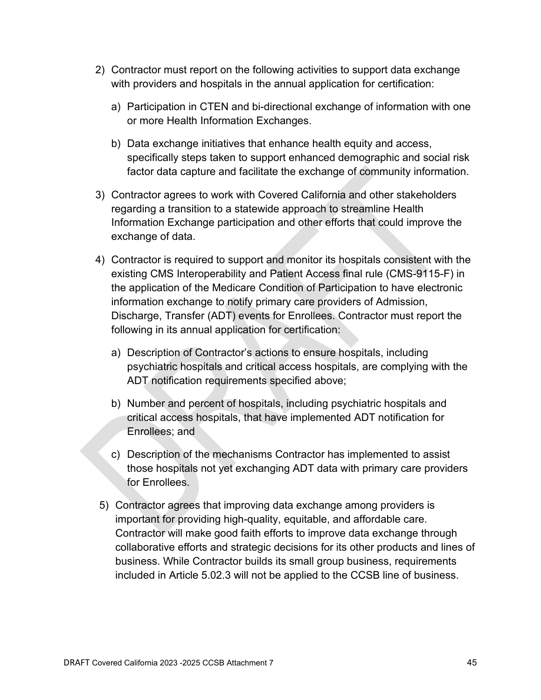- 2) Contractor must report on the following activities to support data exchange with providers and hospitals in the annual application for certification:
	- a) Participation in CTEN and bi-directional exchange of information with one or more Health Information Exchanges.
	- b) Data exchange initiatives that enhance health equity and access, specifically steps taken to support enhanced demographic and social risk factor data capture and facilitate the exchange of community information.
- 3) Contractor agrees to work with Covered California and other stakeholders regarding a transition to a statewide approach to streamline Health Information Exchange participation and other efforts that could improve the exchange of data.
- 4) Contractor is required to support and monitor its hospitals consistent with the existing [CMS Interoperability and Patient Access final rule](https://www.cms.gov/Regulations-and-Guidance/Guidance/Interoperability/index) (CMS-9115-F) in the application of the Medicare Condition of Participation to have electronic information exchange to notify primary care providers of Admission, Discharge, Transfer (ADT) events for Enrollees. Contractor must report the following in its annual application for certification:
	- a) Description of Contractor's actions to ensure hospitals, including psychiatric hospitals and critical access hospitals, are complying with the ADT notification requirements specified above;
	- b) Number and percent of hospitals, including psychiatric hospitals and critical access hospitals, that have implemented ADT notification for Enrollees; and
	- c) Description of the mechanisms Contractor has implemented to assist those hospitals not yet exchanging ADT data with primary care providers for Enrollees.
- 5) Contractor agrees that improving data exchange among providers is important for providing high-quality, equitable, and affordable care. Contractor will make good faith efforts to improve data exchange through collaborative efforts and strategic decisions for its other products and lines of business. While Contractor builds its small group business, requirements included in Article 5.02.3 will not be applied to the CCSB line of business.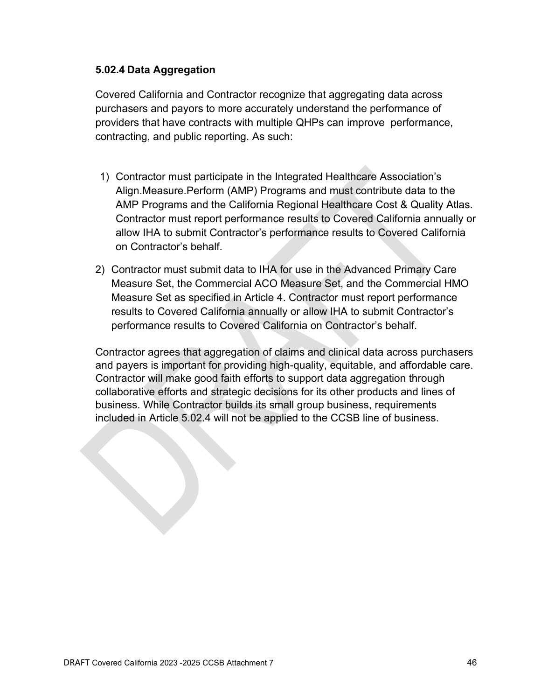#### **5.02.4 Data Aggregation**

Covered California and Contractor recognize that aggregating data across purchasers and payors to more accurately understand the performance of providers that have contracts with multiple QHPs can improve performance, contracting, and public reporting. As such:

- 1) Contractor must participate in the Integrated Healthcare Association's Align.Measure.Perform (AMP) Programs and must contribute data to the AMP Programs and the California Regional Healthcare Cost & Quality Atlas. Contractor must report performance results to Covered California annually or allow IHA to submit Contractor's performance results to Covered California on Contractor's behalf.
- 2) Contractor must submit data to IHA for use in the Advanced Primary Care Measure Set, the Commercial ACO Measure Set, and the Commercial HMO Measure Set as specified in Article 4. Contractor must report performance results to Covered California annually or allow IHA to submit Contractor's performance results to Covered California on Contractor's behalf.

Contractor agrees that aggregation of claims and clinical data across purchasers and payers is important for providing high-quality, equitable, and affordable care. Contractor will make good faith efforts to support data aggregation through collaborative efforts and strategic decisions for its other products and lines of business. While Contractor builds its small group business, requirements included in Article 5.02.4 will not be applied to the CCSB line of business.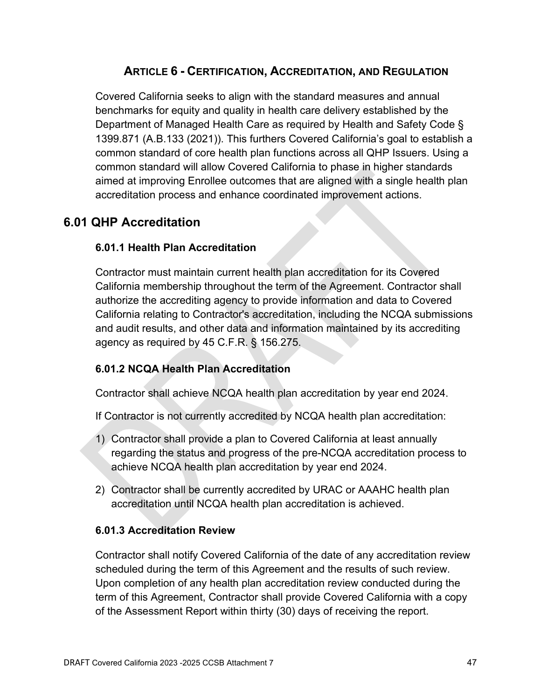# **ARTICLE 6 - CERTIFICATION, ACCREDITATION, AND REGULATION**

Covered California seeks to align with the standard measures and annual benchmarks for equity and quality in health care delivery established by the Department of Managed Health Care as required by Health and Safety Code § 1399.871 (A.B.133 (2021)). This furthers Covered California's goal to establish a common standard of core health plan functions across all QHP Issuers. Using a common standard will allow Covered California to phase in higher standards aimed at improving Enrollee outcomes that are aligned with a single health plan accreditation process and enhance coordinated improvement actions.

# **6.01 QHP Accreditation**

### **6.01.1 Health Plan Accreditation**

Contractor must maintain current health plan accreditation for its Covered California membership throughout the term of the Agreement. Contractor shall authorize the accrediting agency to provide information and data to Covered California relating to Contractor's accreditation, including the NCQA submissions and audit results, and other data and information maintained by its accrediting agency as required by 45 C.F.R. § 156.275.

## **6.01.2 NCQA Health Plan Accreditation**

Contractor shall achieve NCQA health plan accreditation by year end 2024.

If Contractor is not currently accredited by NCQA health plan accreditation:

- 1) Contractor shall provide a plan to Covered California at least annually regarding the status and progress of the pre-NCQA accreditation process to achieve NCQA health plan accreditation by year end 2024.
- 2) Contractor shall be currently accredited by URAC or AAAHC health plan accreditation until NCQA health plan accreditation is achieved.

### **6.01.3 Accreditation Review**

Contractor shall notify Covered California of the date of any accreditation review scheduled during the term of this Agreement and the results of such review. Upon completion of any health plan accreditation review conducted during the term of this Agreement, Contractor shall provide Covered California with a copy of the Assessment Report within thirty (30) days of receiving the report.